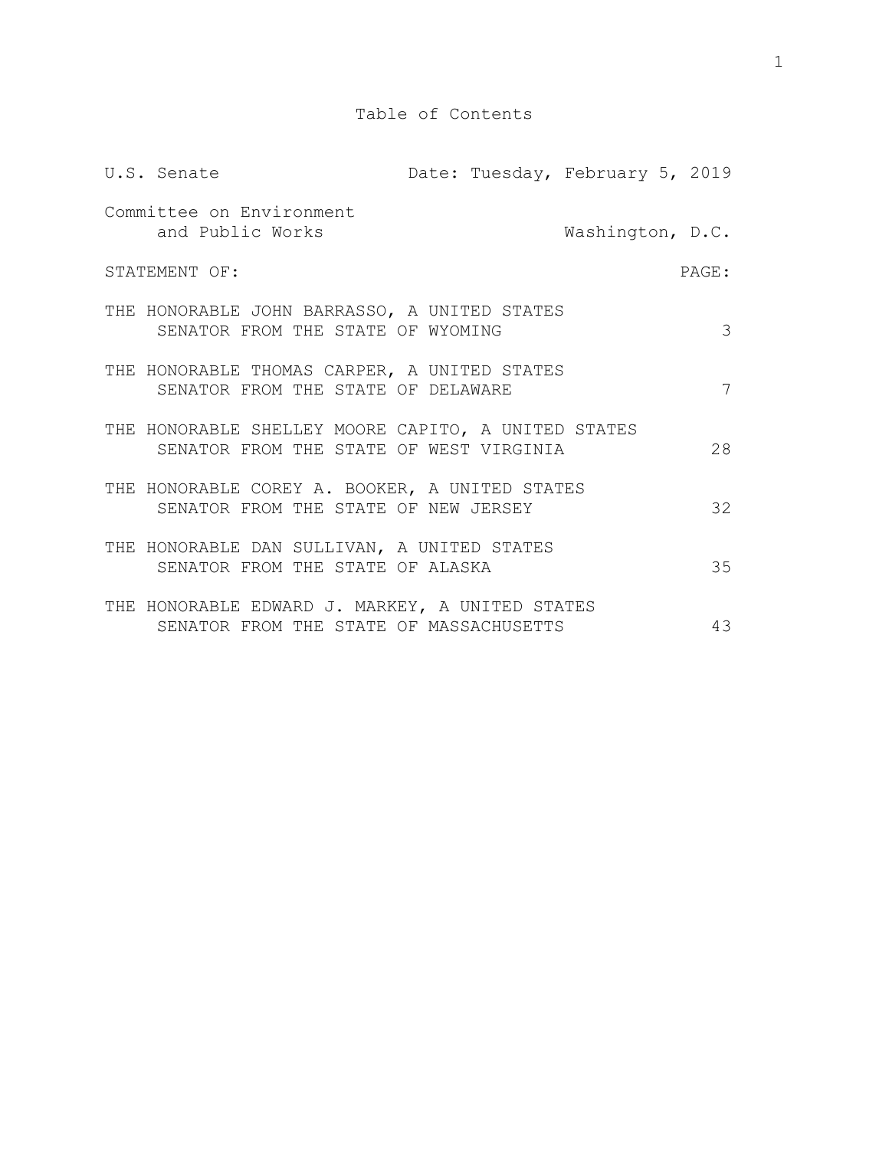| U.S. Senate                                                                                    |  | Date: Tuesday, February 5, 2019 |       |
|------------------------------------------------------------------------------------------------|--|---------------------------------|-------|
| Committee on Environment<br>and Public Works                                                   |  | Washington, D.C.                |       |
| STATEMENT OF:                                                                                  |  |                                 | PAGE: |
| THE HONORABLE JOHN BARRASSO, A UNITED STATES<br>SENATOR FROM THE STATE OF WYOMING              |  |                                 | 3     |
| THE HONORABLE THOMAS CARPER, A UNITED STATES<br>SENATOR FROM THE STATE OF DELAWARE             |  |                                 | 7     |
| THE HONORABLE SHELLEY MOORE CAPITO, A UNITED STATES<br>SENATOR FROM THE STATE OF WEST VIRGINIA |  |                                 | 28    |
| THE HONORABLE COREY A. BOOKER, A UNITED STATES<br>SENATOR FROM THE STATE OF NEW JERSEY         |  |                                 | 32    |
| THE HONORABLE DAN SULLIVAN, A UNITED STATES<br>SENATOR FROM THE STATE OF ALASKA                |  |                                 | 35    |
| THE HONORABLE EDWARD J. MARKEY, A UNITED STATES<br>SENATOR FROM THE STATE OF MASSACHUSETTS     |  |                                 | 43    |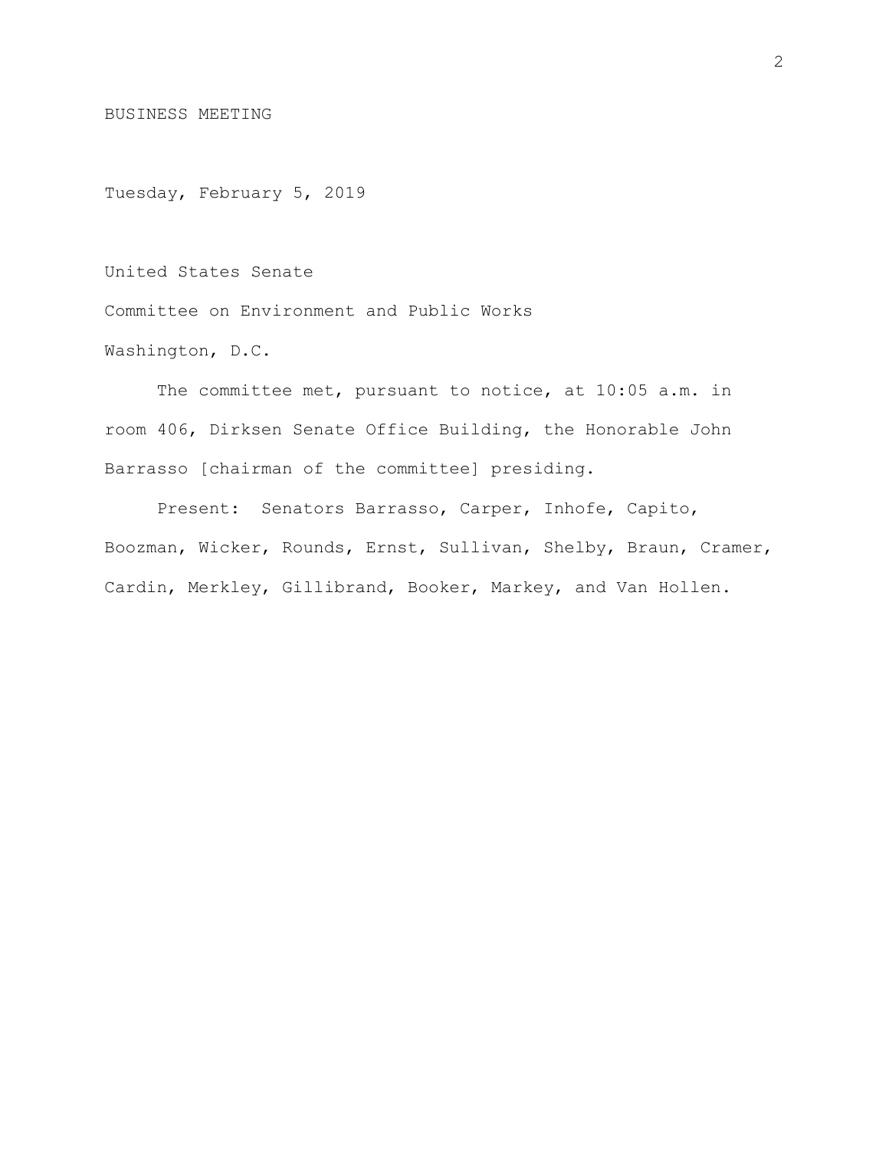BUSINESS MEETING

Tuesday, February 5, 2019

United States Senate

Committee on Environment and Public Works

Washington, D.C.

The committee met, pursuant to notice, at 10:05 a.m. in room 406, Dirksen Senate Office Building, the Honorable John Barrasso [chairman of the committee] presiding.

Present: Senators Barrasso, Carper, Inhofe, Capito, Boozman, Wicker, Rounds, Ernst, Sullivan, Shelby, Braun, Cramer, Cardin, Merkley, Gillibrand, Booker, Markey, and Van Hollen.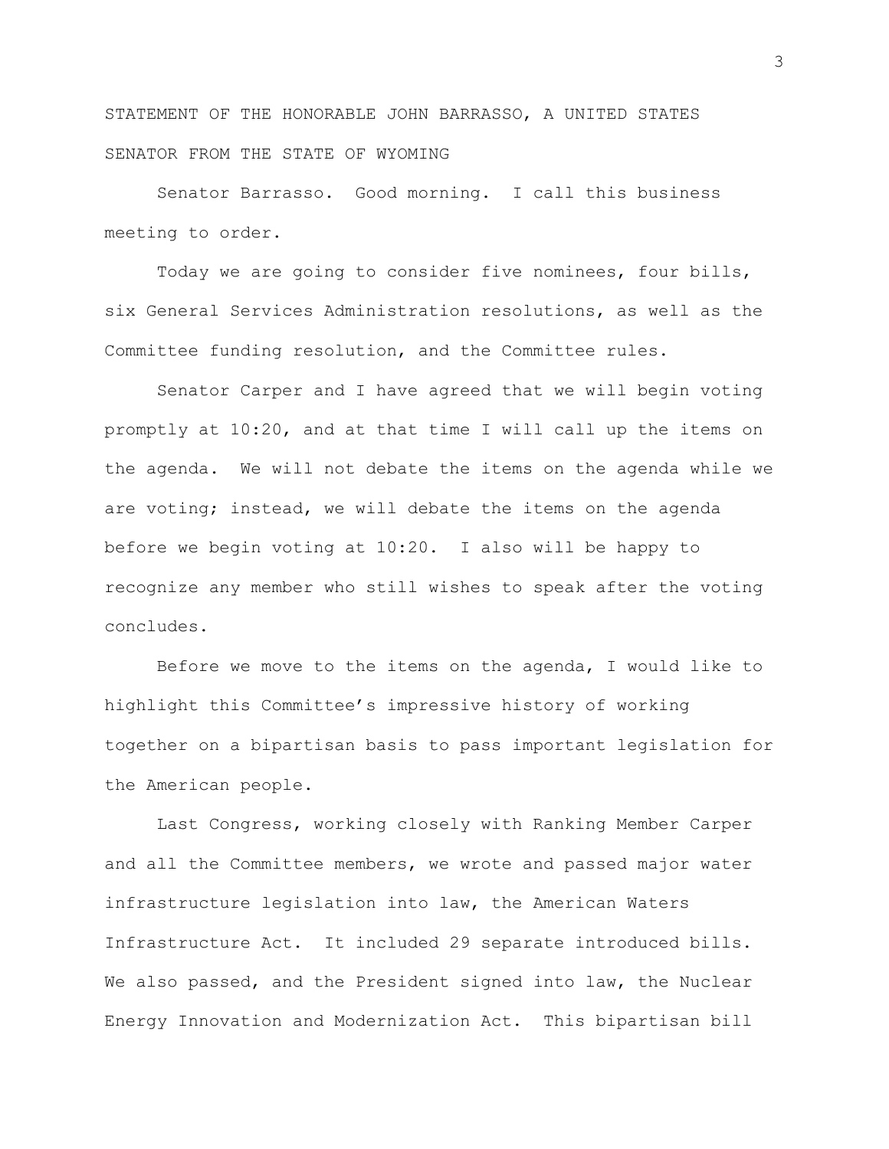STATEMENT OF THE HONORABLE JOHN BARRASSO, A UNITED STATES SENATOR FROM THE STATE OF WYOMING

Senator Barrasso. Good morning. I call this business meeting to order.

Today we are going to consider five nominees, four bills, six General Services Administration resolutions, as well as the Committee funding resolution, and the Committee rules.

Senator Carper and I have agreed that we will begin voting promptly at 10:20, and at that time I will call up the items on the agenda. We will not debate the items on the agenda while we are voting; instead, we will debate the items on the agenda before we begin voting at 10:20. I also will be happy to recognize any member who still wishes to speak after the voting concludes.

Before we move to the items on the agenda, I would like to highlight this Committee's impressive history of working together on a bipartisan basis to pass important legislation for the American people.

Last Congress, working closely with Ranking Member Carper and all the Committee members, we wrote and passed major water infrastructure legislation into law, the American Waters Infrastructure Act. It included 29 separate introduced bills. We also passed, and the President signed into law, the Nuclear Energy Innovation and Modernization Act. This bipartisan bill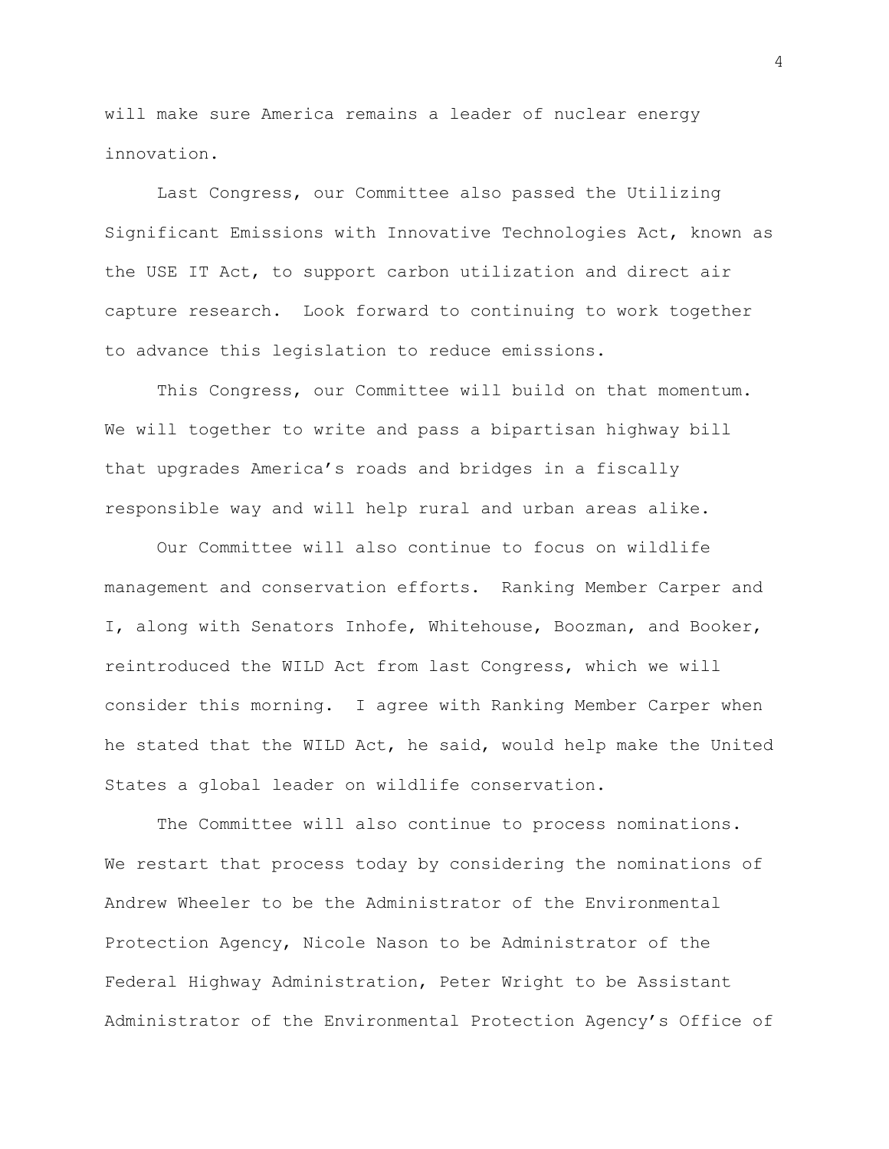will make sure America remains a leader of nuclear energy innovation.

Last Congress, our Committee also passed the Utilizing Significant Emissions with Innovative Technologies Act, known as the USE IT Act, to support carbon utilization and direct air capture research. Look forward to continuing to work together to advance this legislation to reduce emissions.

This Congress, our Committee will build on that momentum. We will together to write and pass a bipartisan highway bill that upgrades America's roads and bridges in a fiscally responsible way and will help rural and urban areas alike.

Our Committee will also continue to focus on wildlife management and conservation efforts. Ranking Member Carper and I, along with Senators Inhofe, Whitehouse, Boozman, and Booker, reintroduced the WILD Act from last Congress, which we will consider this morning. I agree with Ranking Member Carper when he stated that the WILD Act, he said, would help make the United States a global leader on wildlife conservation.

The Committee will also continue to process nominations. We restart that process today by considering the nominations of Andrew Wheeler to be the Administrator of the Environmental Protection Agency, Nicole Nason to be Administrator of the Federal Highway Administration, Peter Wright to be Assistant Administrator of the Environmental Protection Agency's Office of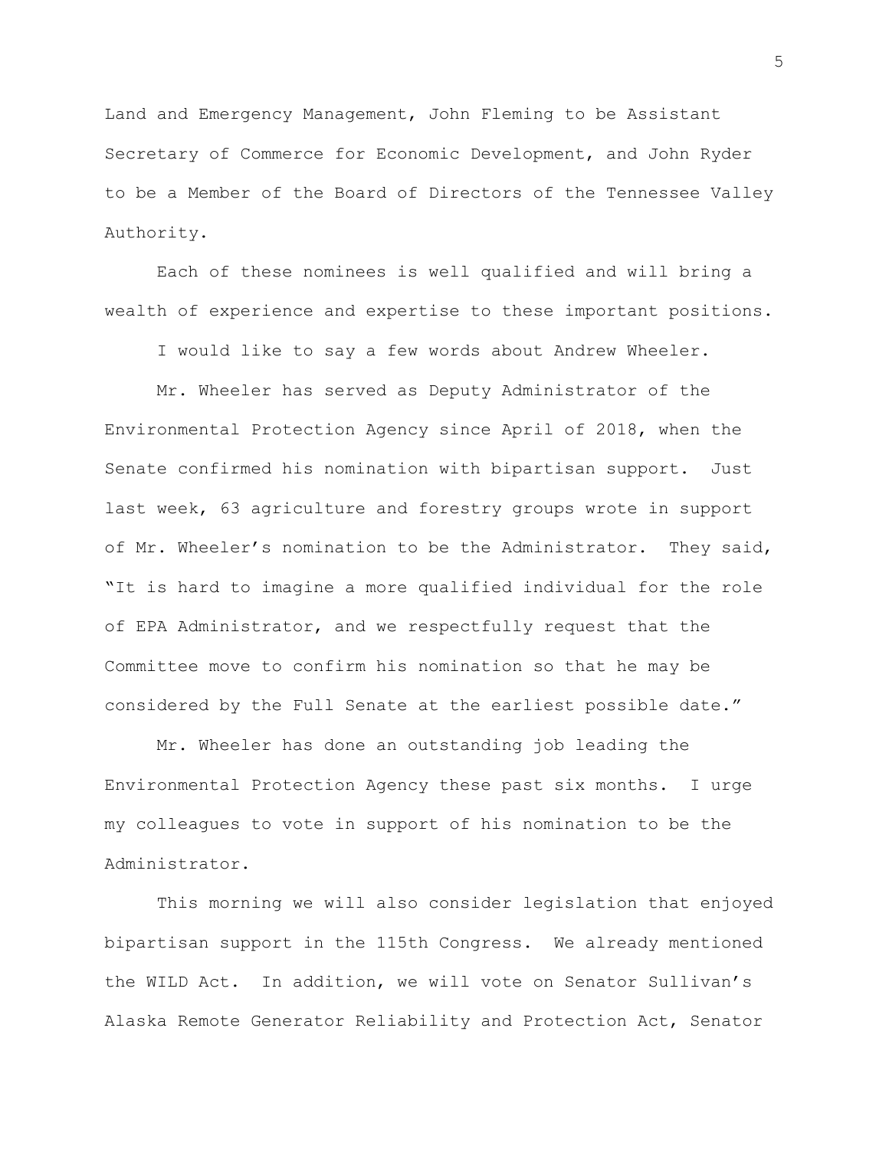Land and Emergency Management, John Fleming to be Assistant Secretary of Commerce for Economic Development, and John Ryder to be a Member of the Board of Directors of the Tennessee Valley Authority.

Each of these nominees is well qualified and will bring a wealth of experience and expertise to these important positions.

I would like to say a few words about Andrew Wheeler.

Mr. Wheeler has served as Deputy Administrator of the Environmental Protection Agency since April of 2018, when the Senate confirmed his nomination with bipartisan support. Just last week, 63 agriculture and forestry groups wrote in support of Mr. Wheeler's nomination to be the Administrator. They said, "It is hard to imagine a more qualified individual for the role of EPA Administrator, and we respectfully request that the Committee move to confirm his nomination so that he may be considered by the Full Senate at the earliest possible date."

Mr. Wheeler has done an outstanding job leading the Environmental Protection Agency these past six months. I urge my colleagues to vote in support of his nomination to be the Administrator.

This morning we will also consider legislation that enjoyed bipartisan support in the 115th Congress. We already mentioned the WILD Act. In addition, we will vote on Senator Sullivan's Alaska Remote Generator Reliability and Protection Act, Senator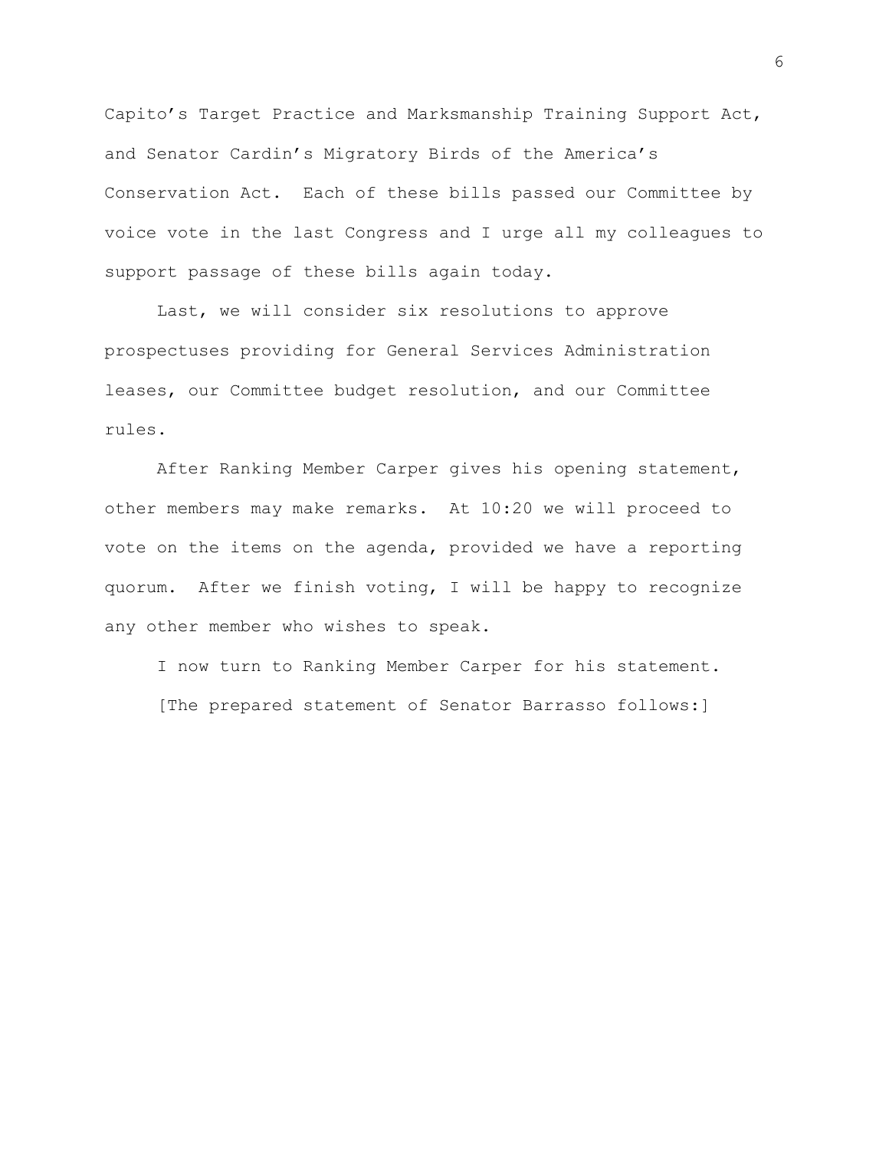Capito's Target Practice and Marksmanship Training Support Act, and Senator Cardin's Migratory Birds of the America's Conservation Act. Each of these bills passed our Committee by voice vote in the last Congress and I urge all my colleagues to support passage of these bills again today.

Last, we will consider six resolutions to approve prospectuses providing for General Services Administration leases, our Committee budget resolution, and our Committee rules.

After Ranking Member Carper gives his opening statement, other members may make remarks. At 10:20 we will proceed to vote on the items on the agenda, provided we have a reporting quorum. After we finish voting, I will be happy to recognize any other member who wishes to speak.

I now turn to Ranking Member Carper for his statement. [The prepared statement of Senator Barrasso follows:]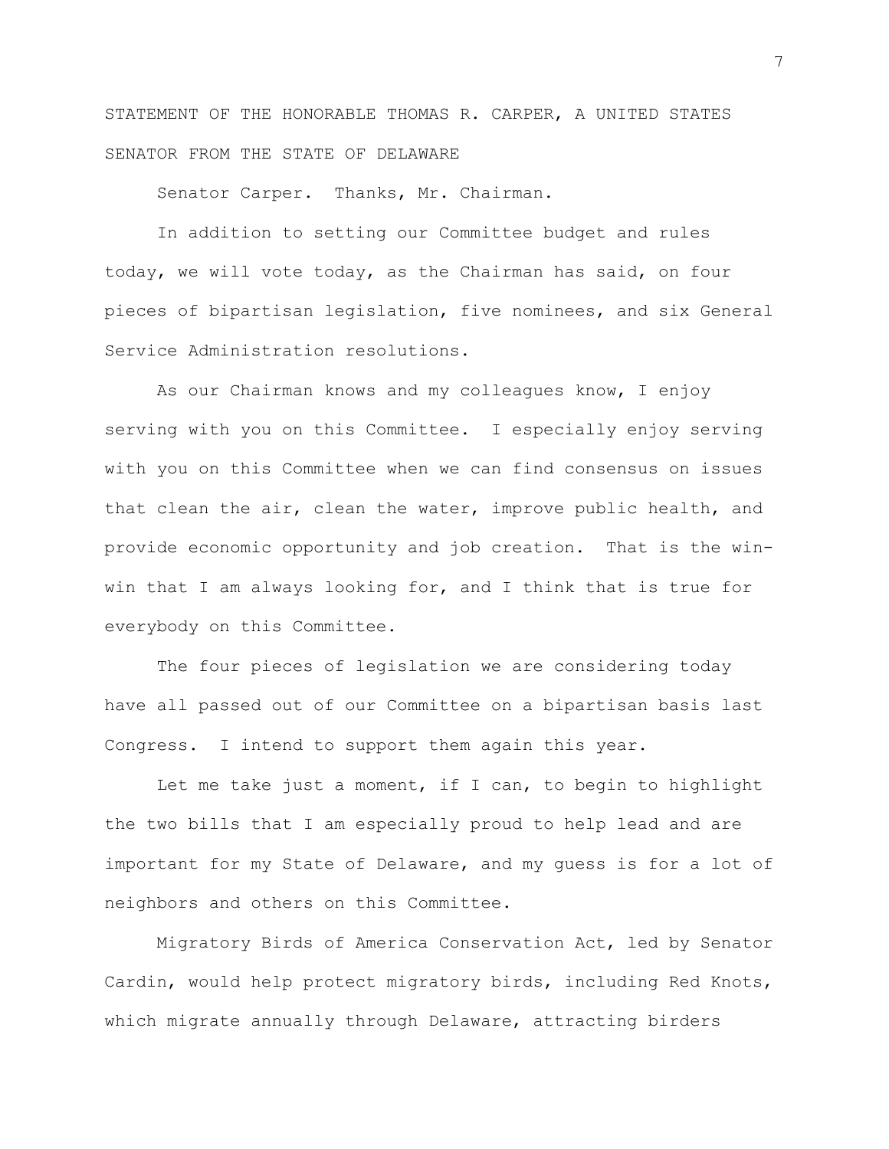STATEMENT OF THE HONORABLE THOMAS R. CARPER, A UNITED STATES SENATOR FROM THE STATE OF DELAWARE

Senator Carper. Thanks, Mr. Chairman.

In addition to setting our Committee budget and rules today, we will vote today, as the Chairman has said, on four pieces of bipartisan legislation, five nominees, and six General Service Administration resolutions.

As our Chairman knows and my colleagues know, I enjoy serving with you on this Committee. I especially enjoy serving with you on this Committee when we can find consensus on issues that clean the air, clean the water, improve public health, and provide economic opportunity and job creation. That is the winwin that I am always looking for, and I think that is true for everybody on this Committee.

The four pieces of legislation we are considering today have all passed out of our Committee on a bipartisan basis last Congress. I intend to support them again this year.

Let me take just a moment, if I can, to begin to highlight the two bills that I am especially proud to help lead and are important for my State of Delaware, and my guess is for a lot of neighbors and others on this Committee.

Migratory Birds of America Conservation Act, led by Senator Cardin, would help protect migratory birds, including Red Knots, which migrate annually through Delaware, attracting birders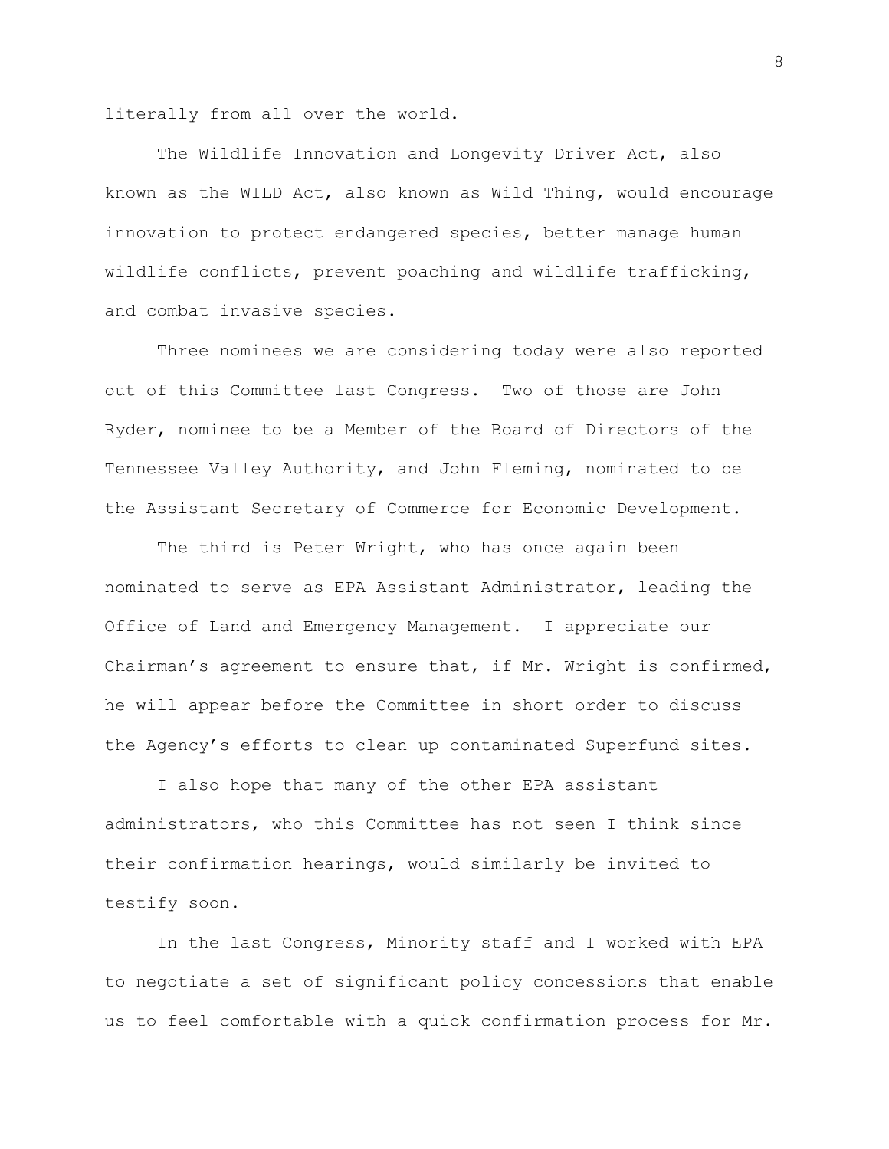literally from all over the world.

The Wildlife Innovation and Longevity Driver Act, also known as the WILD Act, also known as Wild Thing, would encourage innovation to protect endangered species, better manage human wildlife conflicts, prevent poaching and wildlife trafficking, and combat invasive species.

Three nominees we are considering today were also reported out of this Committee last Congress. Two of those are John Ryder, nominee to be a Member of the Board of Directors of the Tennessee Valley Authority, and John Fleming, nominated to be the Assistant Secretary of Commerce for Economic Development.

The third is Peter Wright, who has once again been nominated to serve as EPA Assistant Administrator, leading the Office of Land and Emergency Management. I appreciate our Chairman's agreement to ensure that, if Mr. Wright is confirmed, he will appear before the Committee in short order to discuss the Agency's efforts to clean up contaminated Superfund sites.

I also hope that many of the other EPA assistant administrators, who this Committee has not seen I think since their confirmation hearings, would similarly be invited to testify soon.

In the last Congress, Minority staff and I worked with EPA to negotiate a set of significant policy concessions that enable us to feel comfortable with a quick confirmation process for Mr.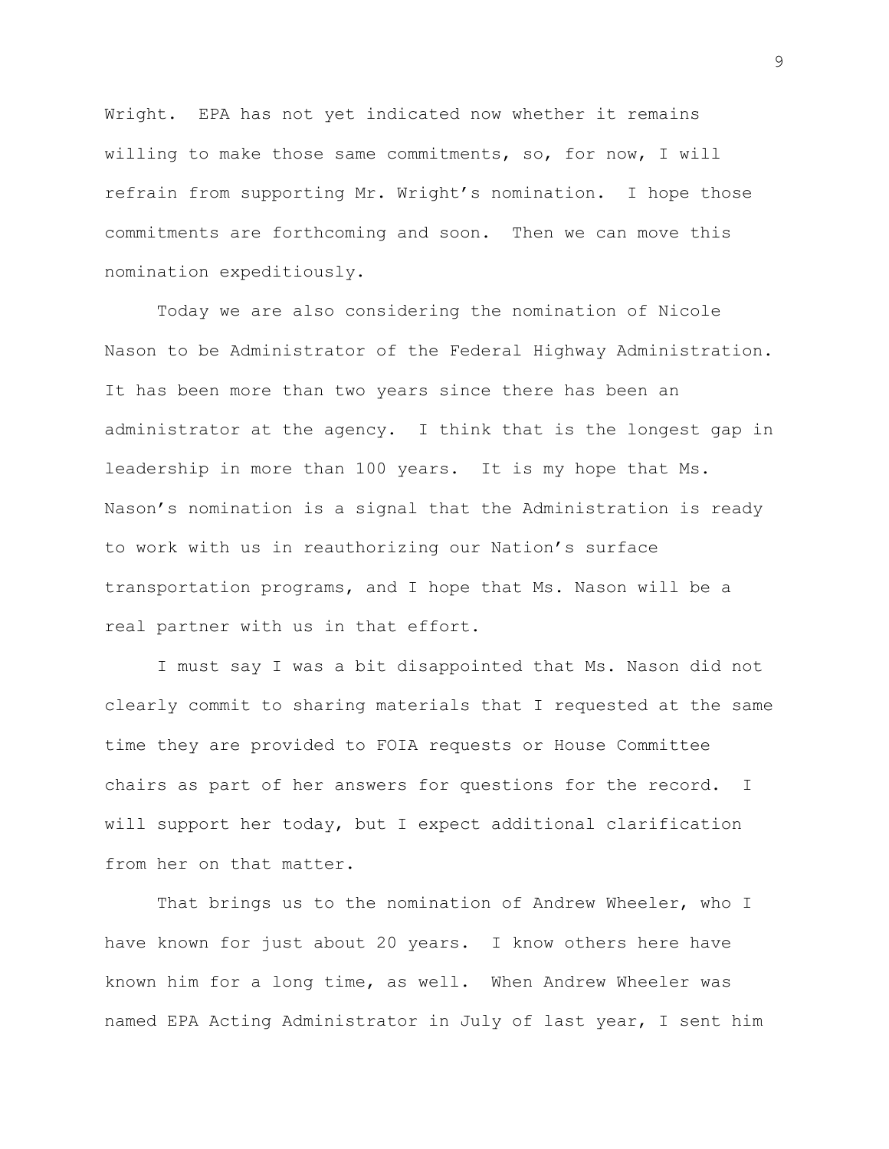Wright. EPA has not yet indicated now whether it remains willing to make those same commitments, so, for now, I will refrain from supporting Mr. Wright's nomination. I hope those commitments are forthcoming and soon. Then we can move this nomination expeditiously.

Today we are also considering the nomination of Nicole Nason to be Administrator of the Federal Highway Administration. It has been more than two years since there has been an administrator at the agency. I think that is the longest gap in leadership in more than 100 years. It is my hope that Ms. Nason's nomination is a signal that the Administration is ready to work with us in reauthorizing our Nation's surface transportation programs, and I hope that Ms. Nason will be a real partner with us in that effort.

I must say I was a bit disappointed that Ms. Nason did not clearly commit to sharing materials that I requested at the same time they are provided to FOIA requests or House Committee chairs as part of her answers for questions for the record. I will support her today, but I expect additional clarification from her on that matter.

That brings us to the nomination of Andrew Wheeler, who I have known for just about 20 years. I know others here have known him for a long time, as well. When Andrew Wheeler was named EPA Acting Administrator in July of last year, I sent him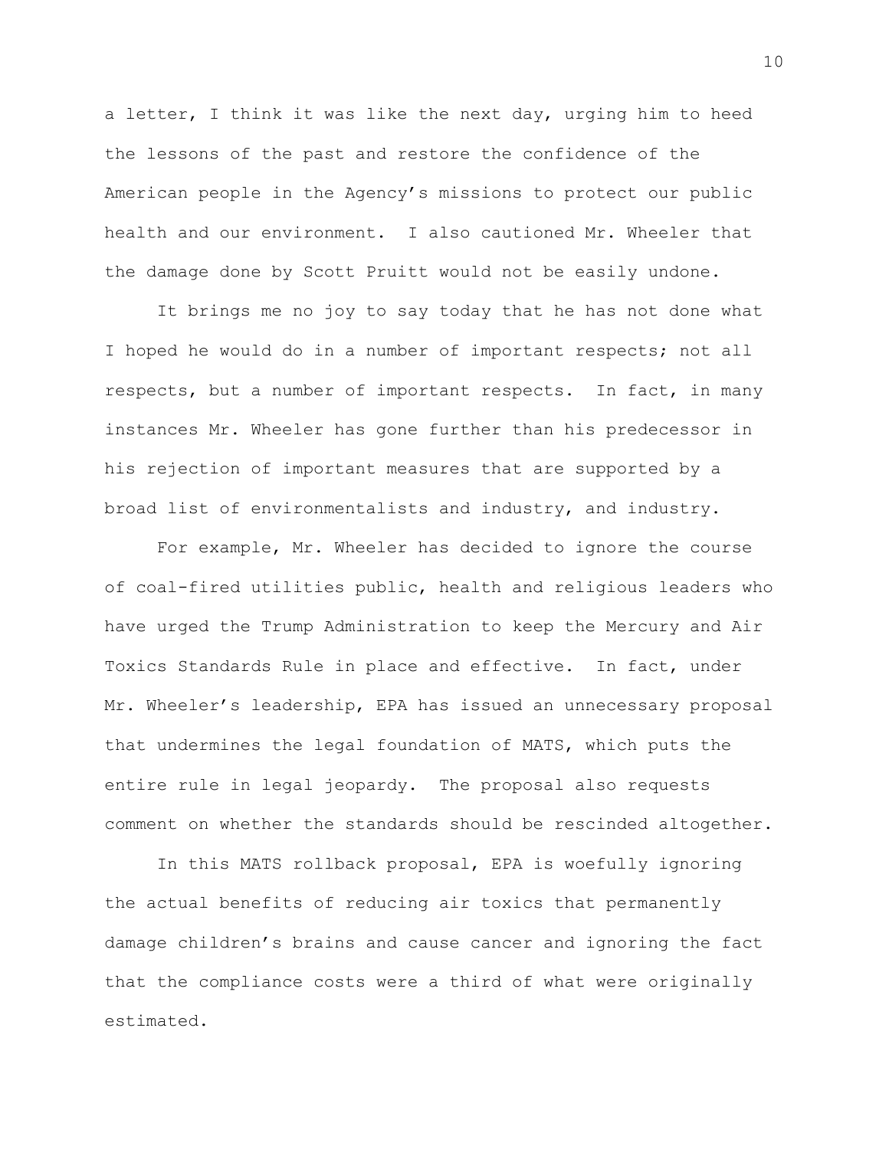a letter, I think it was like the next day, urging him to heed the lessons of the past and restore the confidence of the American people in the Agency's missions to protect our public health and our environment. I also cautioned Mr. Wheeler that the damage done by Scott Pruitt would not be easily undone.

It brings me no joy to say today that he has not done what I hoped he would do in a number of important respects; not all respects, but a number of important respects. In fact, in many instances Mr. Wheeler has gone further than his predecessor in his rejection of important measures that are supported by a broad list of environmentalists and industry, and industry.

For example, Mr. Wheeler has decided to ignore the course of coal-fired utilities public, health and religious leaders who have urged the Trump Administration to keep the Mercury and Air Toxics Standards Rule in place and effective. In fact, under Mr. Wheeler's leadership, EPA has issued an unnecessary proposal that undermines the legal foundation of MATS, which puts the entire rule in legal jeopardy. The proposal also requests comment on whether the standards should be rescinded altogether.

In this MATS rollback proposal, EPA is woefully ignoring the actual benefits of reducing air toxics that permanently damage children's brains and cause cancer and ignoring the fact that the compliance costs were a third of what were originally estimated.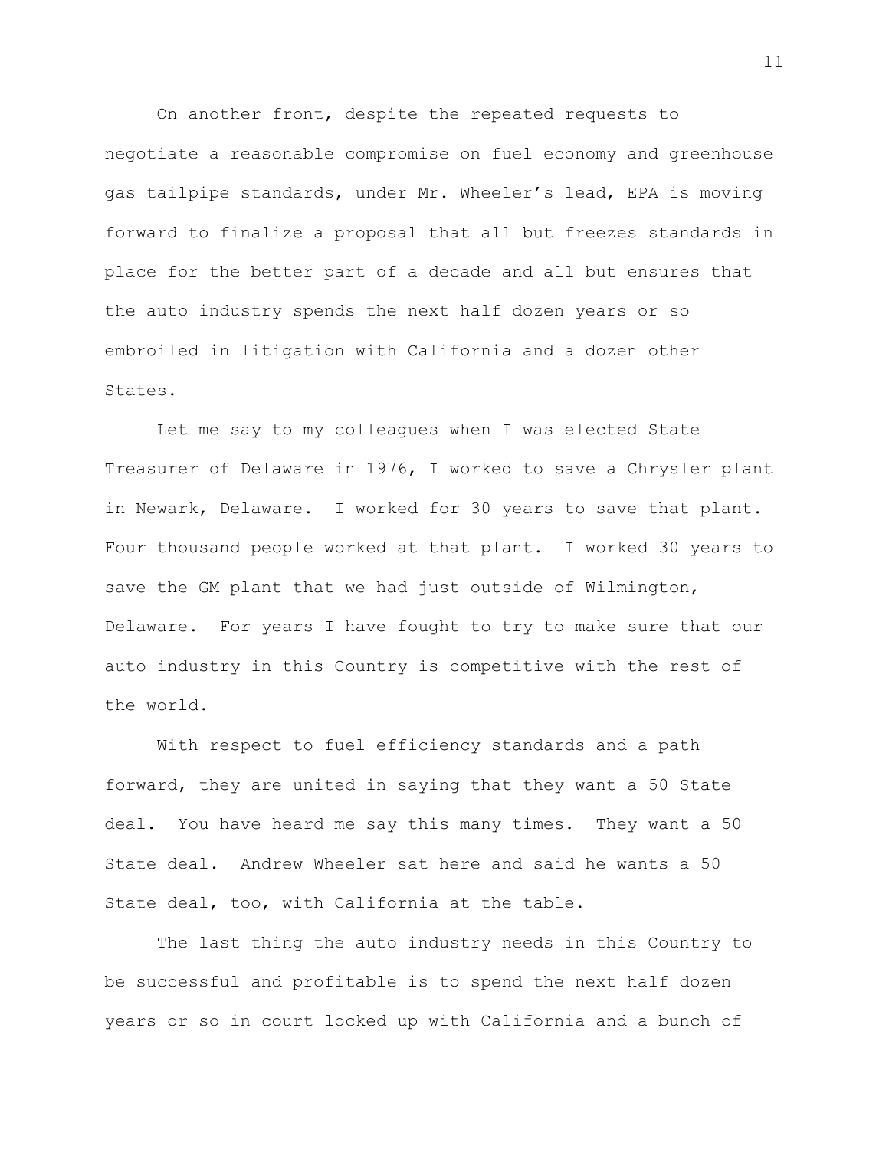On another front, despite the repeated requests to negotiate a reasonable compromise on fuel economy and greenhouse gas tailpipe standards, under Mr. Wheeler's lead, EPA is moving forward to finalize a proposal that all but freezes standards in place for the better part of a decade and all but ensures that the auto industry spends the next half dozen years or so embroiled in litigation with California and a dozen other States.

Let me say to my colleagues when I was elected State Treasurer of Delaware in 1976, I worked to save a Chrysler plant in Newark, Delaware. I worked for 30 years to save that plant. Four thousand people worked at that plant. I worked 30 years to save the GM plant that we had just outside of Wilmington, Delaware. For years I have fought to try to make sure that our auto industry in this Country is competitive with the rest of the world.

With respect to fuel efficiency standards and a path forward, they are united in saying that they want a 50 State deal. You have heard me say this many times. They want a 50 State deal. Andrew Wheeler sat here and said he wants a 50 State deal, too, with California at the table.

The last thing the auto industry needs in this Country to be successful and profitable is to spend the next half dozen years or so in court locked up with California and a bunch of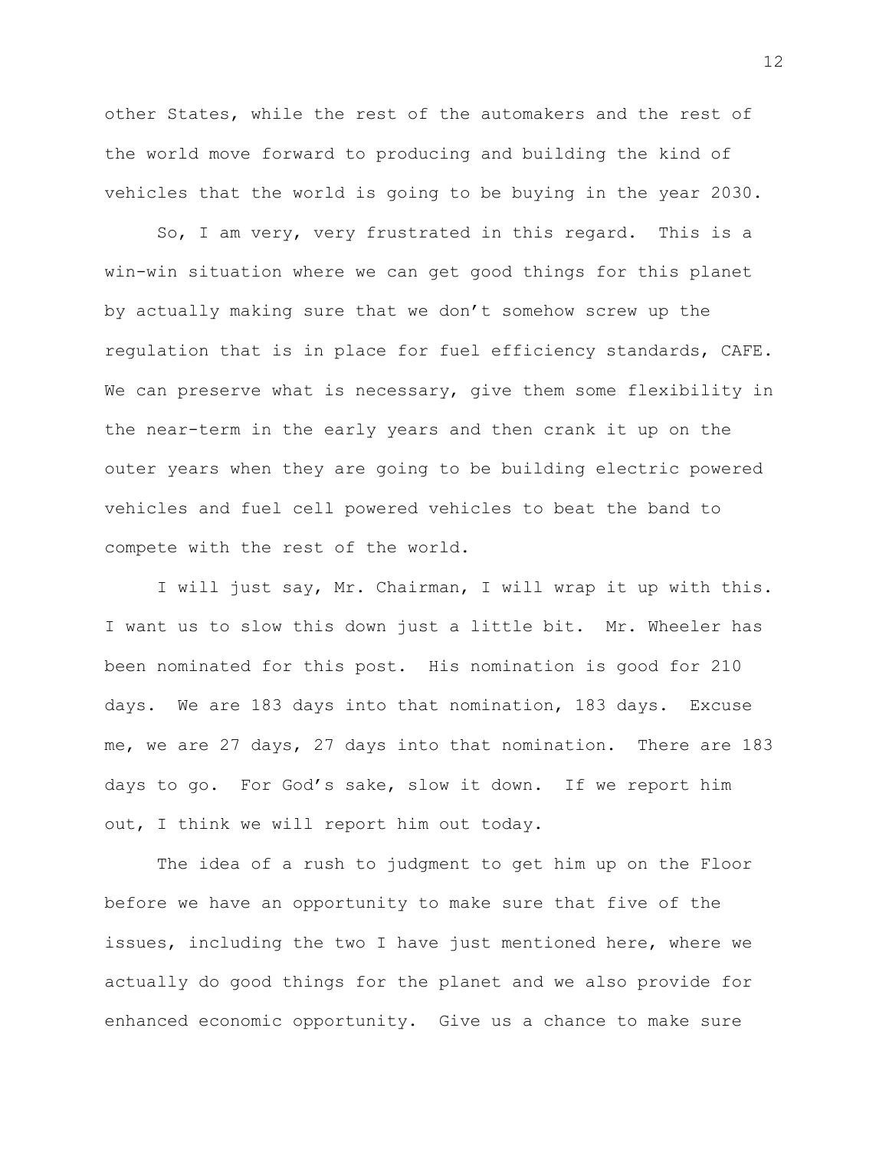other States, while the rest of the automakers and the rest of the world move forward to producing and building the kind of vehicles that the world is going to be buying in the year 2030.

So, I am very, very frustrated in this regard. This is a win-win situation where we can get good things for this planet by actually making sure that we don't somehow screw up the regulation that is in place for fuel efficiency standards, CAFE. We can preserve what is necessary, give them some flexibility in the near-term in the early years and then crank it up on the outer years when they are going to be building electric powered vehicles and fuel cell powered vehicles to beat the band to compete with the rest of the world.

I will just say, Mr. Chairman, I will wrap it up with this. I want us to slow this down just a little bit. Mr. Wheeler has been nominated for this post. His nomination is good for 210 days. We are 183 days into that nomination, 183 days. Excuse me, we are 27 days, 27 days into that nomination. There are 183 days to go. For God's sake, slow it down. If we report him out, I think we will report him out today.

The idea of a rush to judgment to get him up on the Floor before we have an opportunity to make sure that five of the issues, including the two I have just mentioned here, where we actually do good things for the planet and we also provide for enhanced economic opportunity. Give us a chance to make sure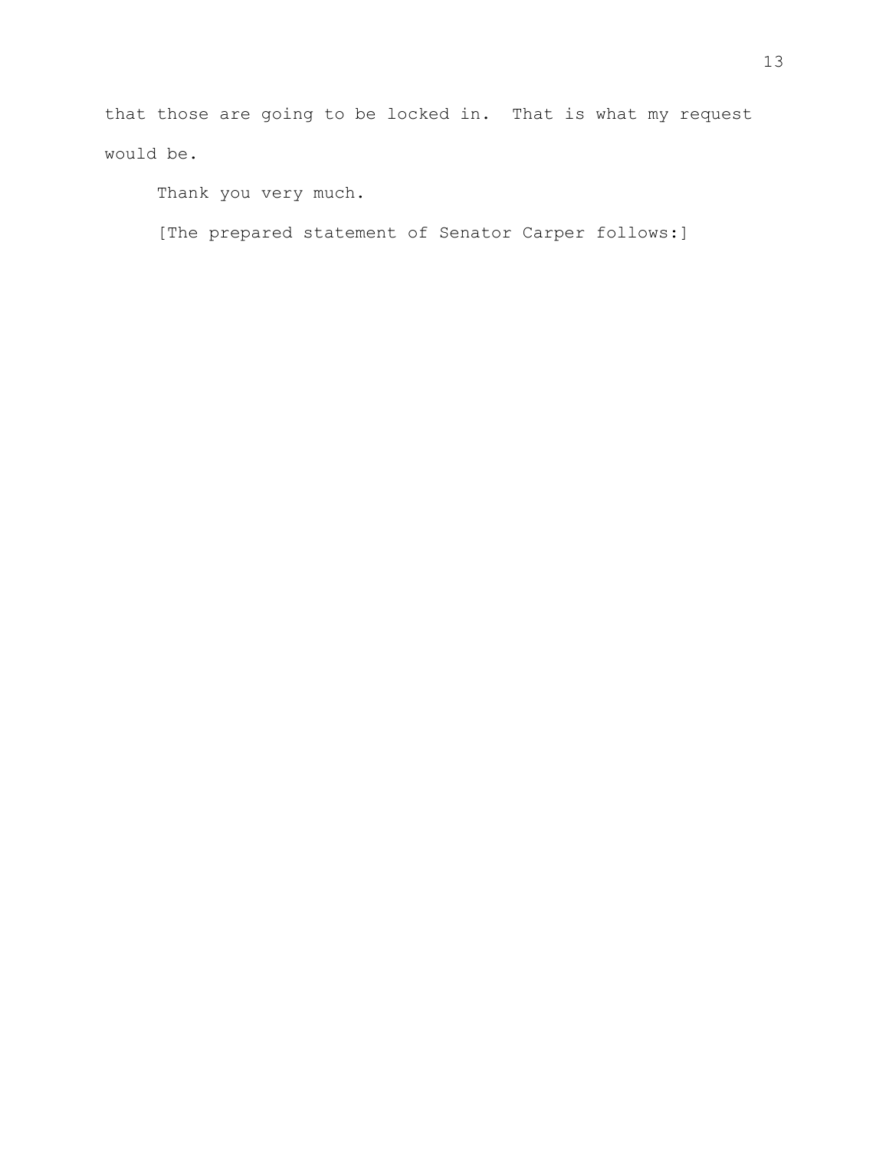that those are going to be locked in. That is what my request would be.

Thank you very much.

[The prepared statement of Senator Carper follows:]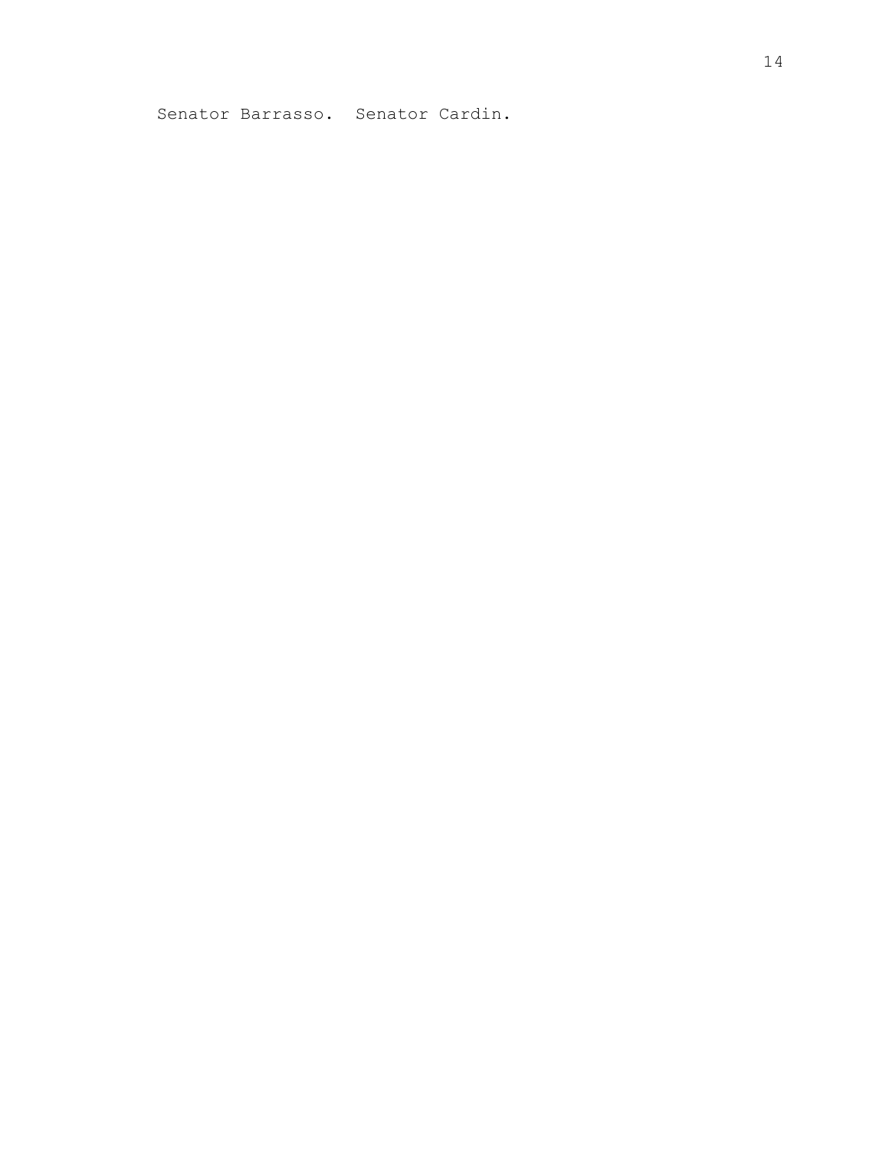Senator Barrasso. Senator Cardin.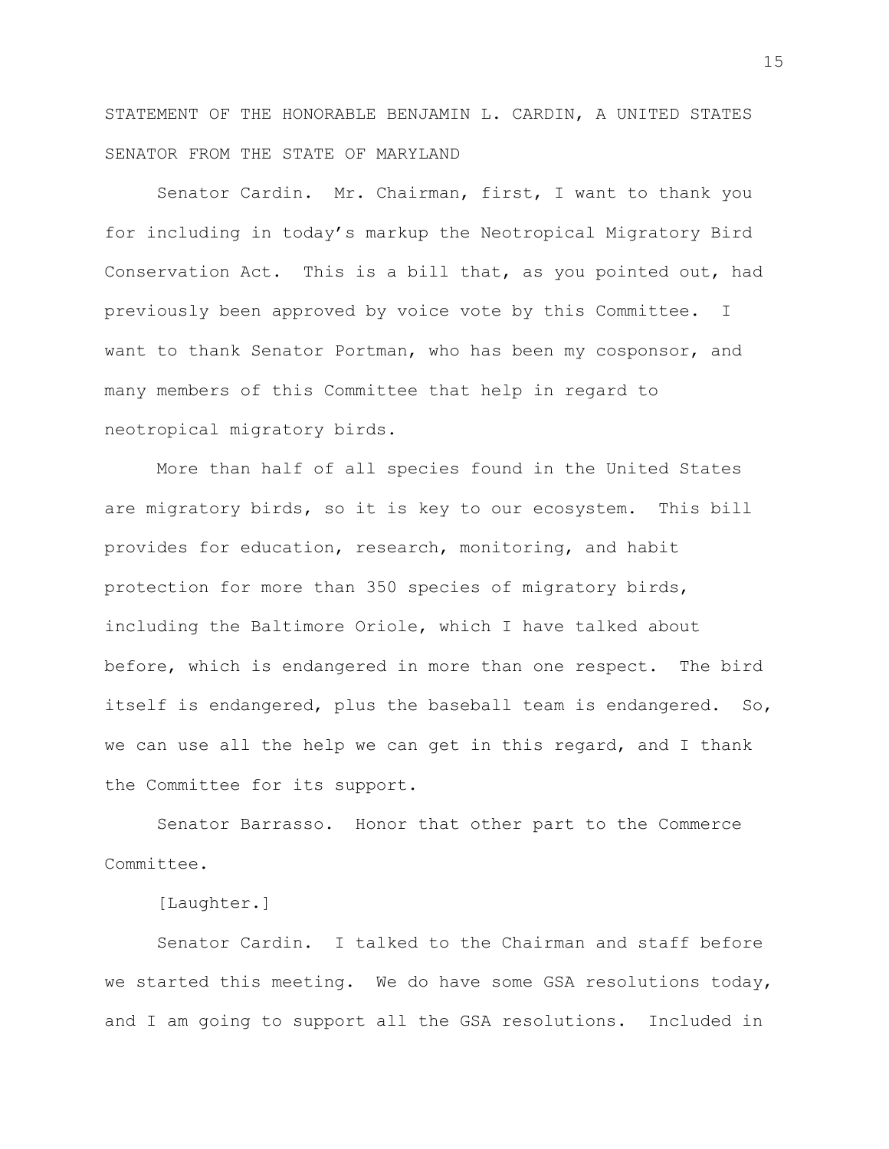STATEMENT OF THE HONORABLE BENJAMIN L. CARDIN, A UNITED STATES SENATOR FROM THE STATE OF MARYLAND

Senator Cardin. Mr. Chairman, first, I want to thank you for including in today's markup the Neotropical Migratory Bird Conservation Act. This is a bill that, as you pointed out, had previously been approved by voice vote by this Committee. I want to thank Senator Portman, who has been my cosponsor, and many members of this Committee that help in regard to neotropical migratory birds.

More than half of all species found in the United States are migratory birds, so it is key to our ecosystem. This bill provides for education, research, monitoring, and habit protection for more than 350 species of migratory birds, including the Baltimore Oriole, which I have talked about before, which is endangered in more than one respect. The bird itself is endangered, plus the baseball team is endangered. So, we can use all the help we can get in this regard, and I thank the Committee for its support.

Senator Barrasso. Honor that other part to the Commerce Committee.

[Laughter.]

Senator Cardin. I talked to the Chairman and staff before we started this meeting. We do have some GSA resolutions today, and I am going to support all the GSA resolutions. Included in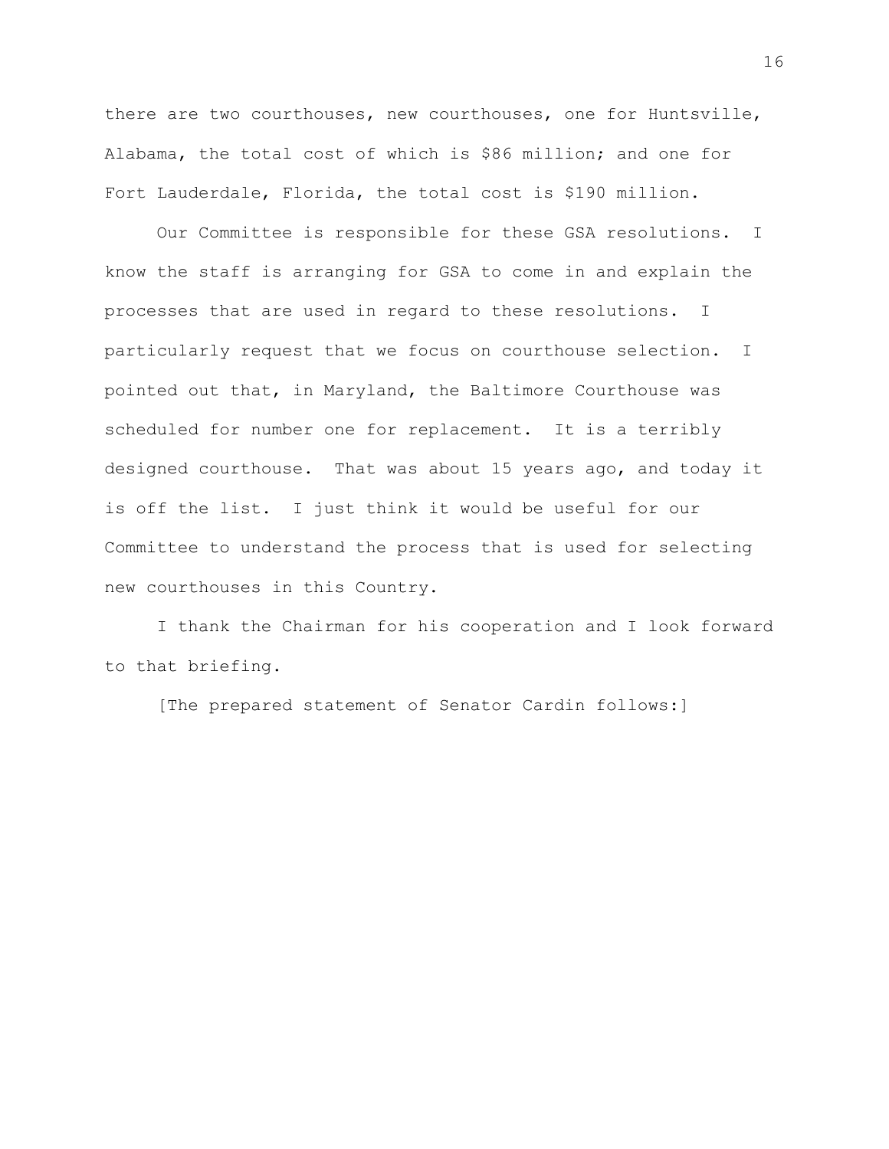there are two courthouses, new courthouses, one for Huntsville, Alabama, the total cost of which is \$86 million; and one for Fort Lauderdale, Florida, the total cost is \$190 million.

Our Committee is responsible for these GSA resolutions. I know the staff is arranging for GSA to come in and explain the processes that are used in regard to these resolutions. I particularly request that we focus on courthouse selection. I pointed out that, in Maryland, the Baltimore Courthouse was scheduled for number one for replacement. It is a terribly designed courthouse. That was about 15 years ago, and today it is off the list. I just think it would be useful for our Committee to understand the process that is used for selecting new courthouses in this Country.

I thank the Chairman for his cooperation and I look forward to that briefing.

[The prepared statement of Senator Cardin follows:]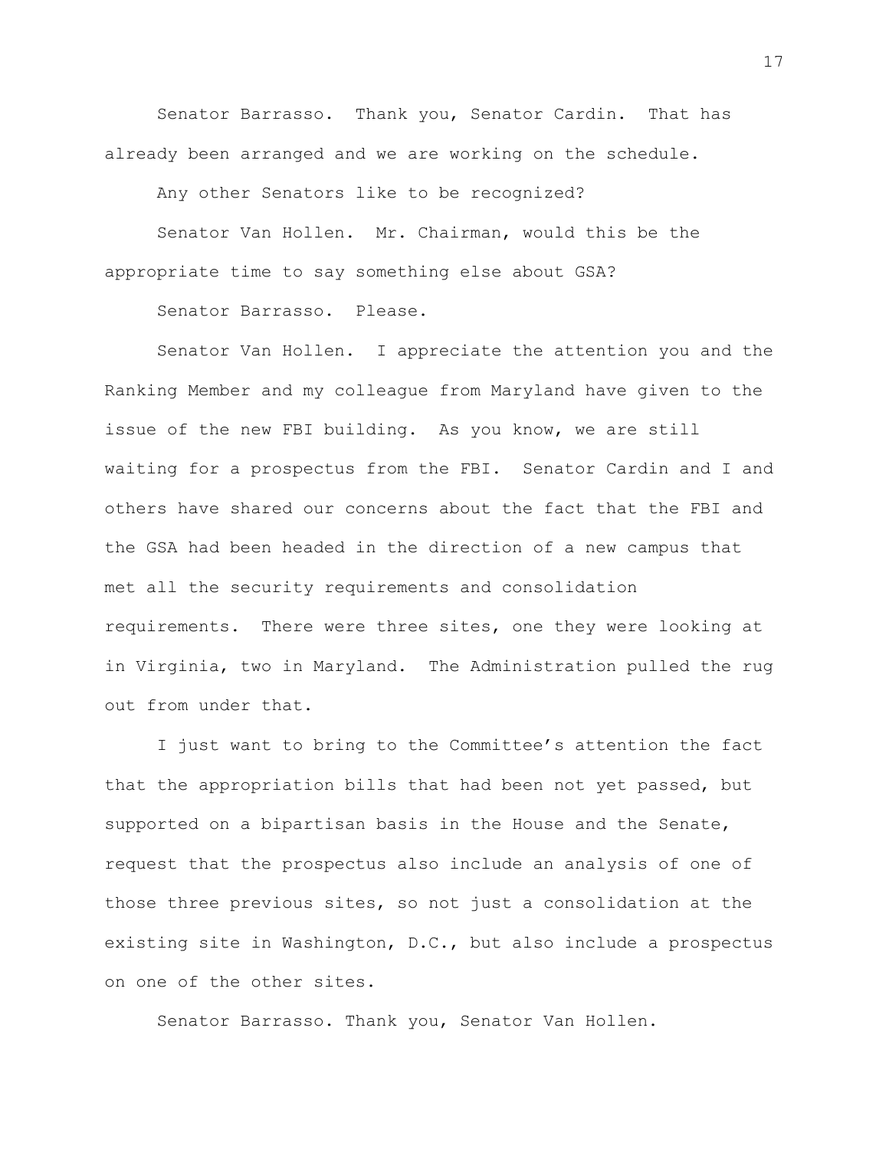Senator Barrasso. Thank you, Senator Cardin. That has already been arranged and we are working on the schedule.

Any other Senators like to be recognized?

Senator Van Hollen. Mr. Chairman, would this be the appropriate time to say something else about GSA?

Senator Barrasso. Please.

Senator Van Hollen. I appreciate the attention you and the Ranking Member and my colleague from Maryland have given to the issue of the new FBI building. As you know, we are still waiting for a prospectus from the FBI. Senator Cardin and I and others have shared our concerns about the fact that the FBI and the GSA had been headed in the direction of a new campus that met all the security requirements and consolidation requirements. There were three sites, one they were looking at in Virginia, two in Maryland. The Administration pulled the rug out from under that.

I just want to bring to the Committee's attention the fact that the appropriation bills that had been not yet passed, but supported on a bipartisan basis in the House and the Senate, request that the prospectus also include an analysis of one of those three previous sites, so not just a consolidation at the existing site in Washington, D.C., but also include a prospectus on one of the other sites.

Senator Barrasso. Thank you, Senator Van Hollen.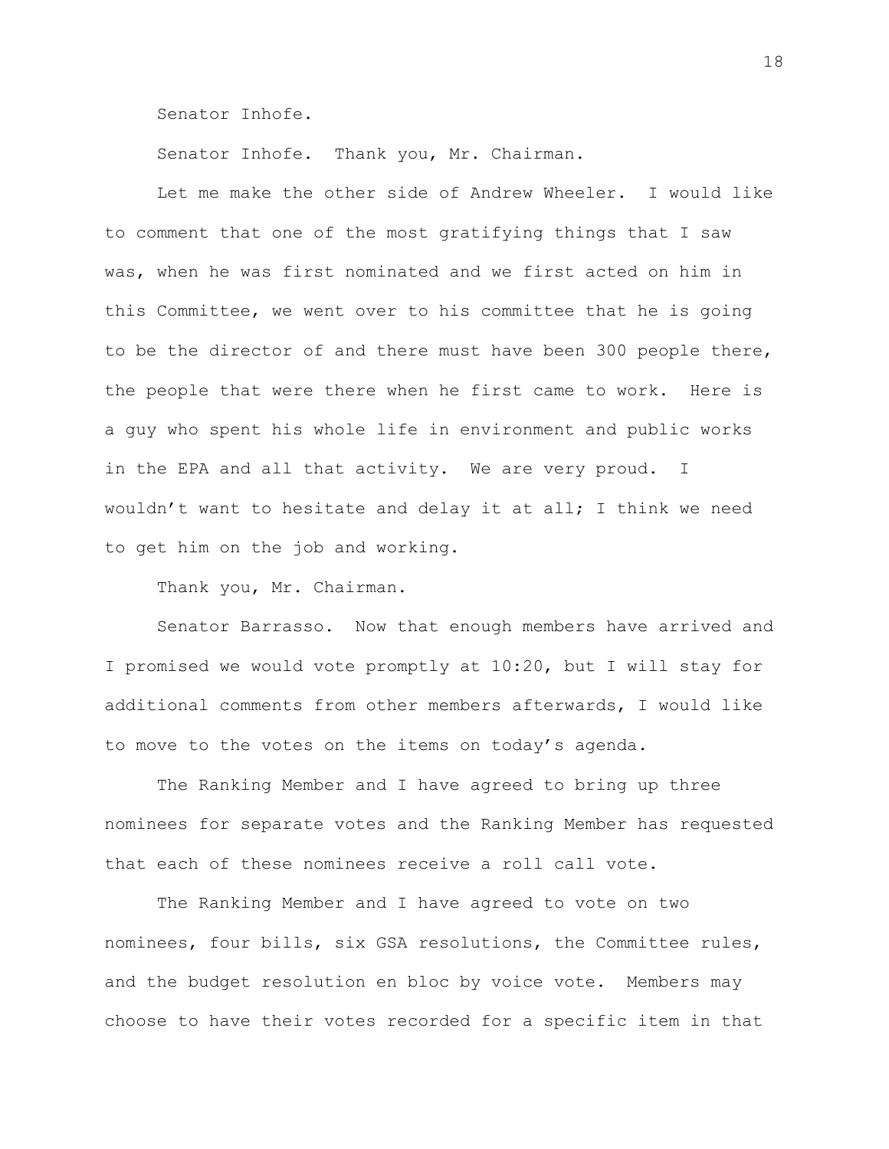Senator Inhofe.

Senator Inhofe. Thank you, Mr. Chairman.

Let me make the other side of Andrew Wheeler. I would like to comment that one of the most gratifying things that I saw was, when he was first nominated and we first acted on him in this Committee, we went over to his committee that he is going to be the director of and there must have been 300 people there, the people that were there when he first came to work. Here is a guy who spent his whole life in environment and public works in the EPA and all that activity. We are very proud. I wouldn't want to hesitate and delay it at all; I think we need to get him on the job and working.

Thank you, Mr. Chairman.

Senator Barrasso. Now that enough members have arrived and I promised we would vote promptly at 10:20, but I will stay for additional comments from other members afterwards, I would like to move to the votes on the items on today's agenda.

The Ranking Member and I have agreed to bring up three nominees for separate votes and the Ranking Member has requested that each of these nominees receive a roll call vote.

The Ranking Member and I have agreed to vote on two nominees, four bills, six GSA resolutions, the Committee rules, and the budget resolution en bloc by voice vote. Members may choose to have their votes recorded for a specific item in that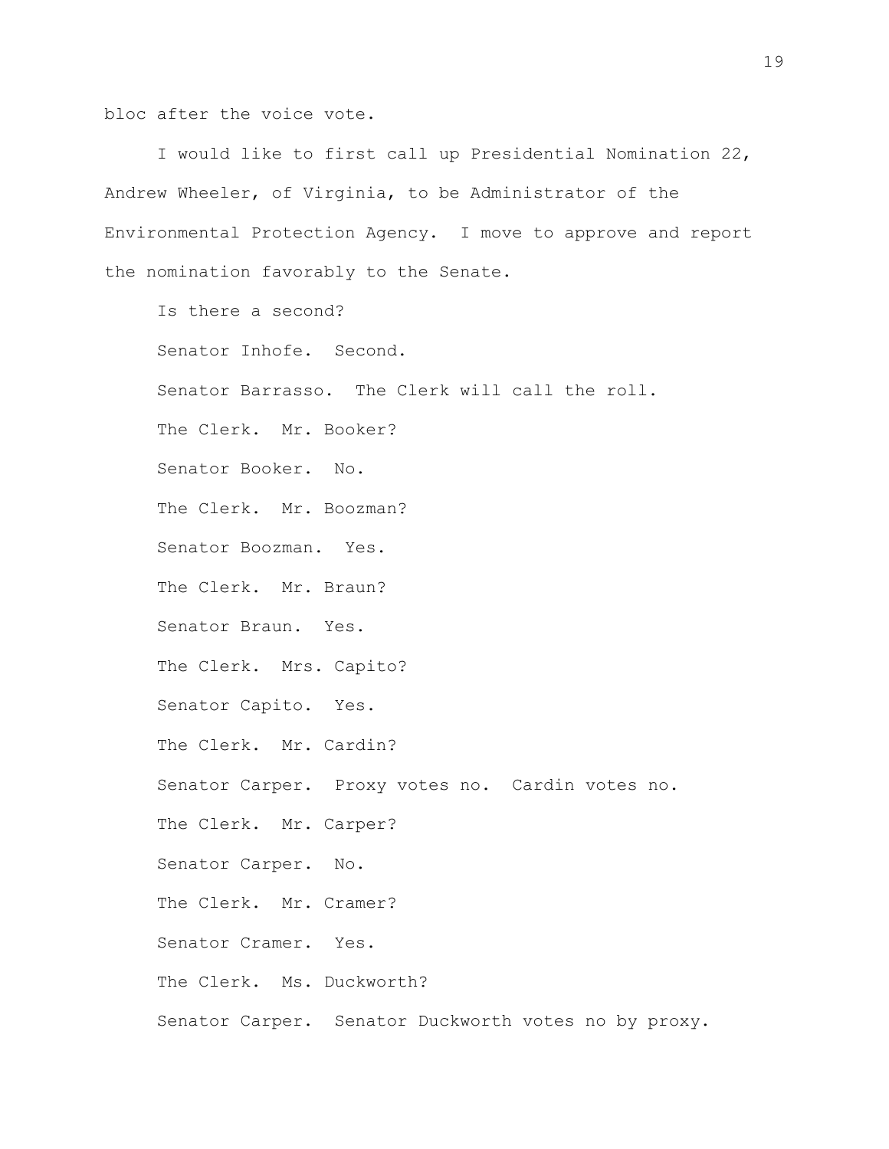bloc after the voice vote.

I would like to first call up Presidential Nomination 22, Andrew Wheeler, of Virginia, to be Administrator of the Environmental Protection Agency. I move to approve and report the nomination favorably to the Senate.

Is there a second? Senator Inhofe. Second. Senator Barrasso. The Clerk will call the roll. The Clerk. Mr. Booker? Senator Booker. No. The Clerk. Mr. Boozman? Senator Boozman. Yes. The Clerk. Mr. Braun? Senator Braun. Yes. The Clerk. Mrs. Capito? Senator Capito. Yes. The Clerk. Mr. Cardin? Senator Carper. Proxy votes no. Cardin votes no. The Clerk. Mr. Carper? Senator Carper. No. The Clerk. Mr. Cramer? Senator Cramer. Yes. The Clerk. Ms. Duckworth? Senator Carper. Senator Duckworth votes no by proxy.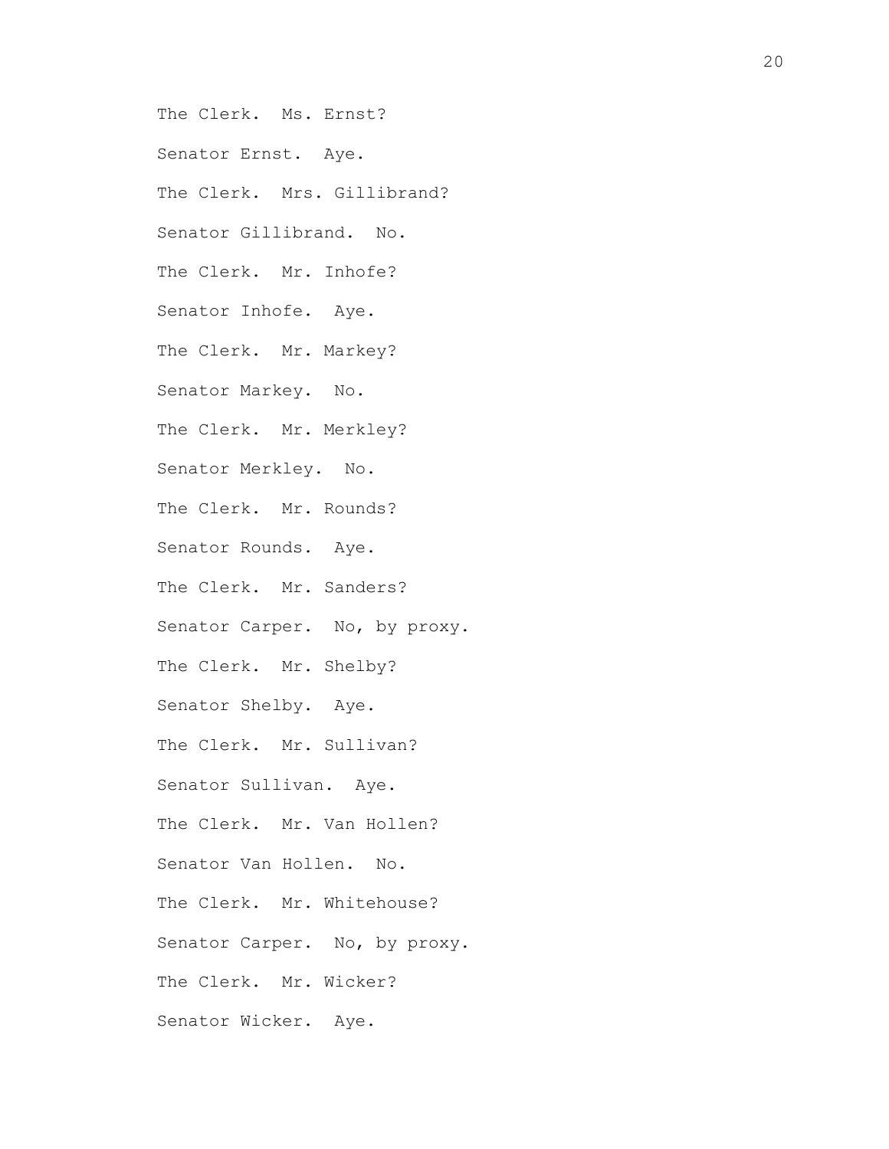The Clerk. Ms. Ernst?

Senator Ernst. Aye.

The Clerk. Mrs. Gillibrand?

Senator Gillibrand. No.

The Clerk. Mr. Inhofe?

Senator Inhofe. Aye.

The Clerk. Mr. Markey?

Senator Markey. No.

The Clerk. Mr. Merkley?

Senator Merkley. No.

The Clerk. Mr. Rounds?

Senator Rounds. Aye.

The Clerk. Mr. Sanders?

Senator Carper. No, by proxy.

The Clerk. Mr. Shelby?

Senator Shelby. Aye.

The Clerk. Mr. Sullivan?

Senator Sullivan. Aye.

The Clerk. Mr. Van Hollen?

Senator Van Hollen. No.

The Clerk. Mr. Whitehouse?

Senator Carper. No, by proxy.

The Clerk. Mr. Wicker?

Senator Wicker. Aye.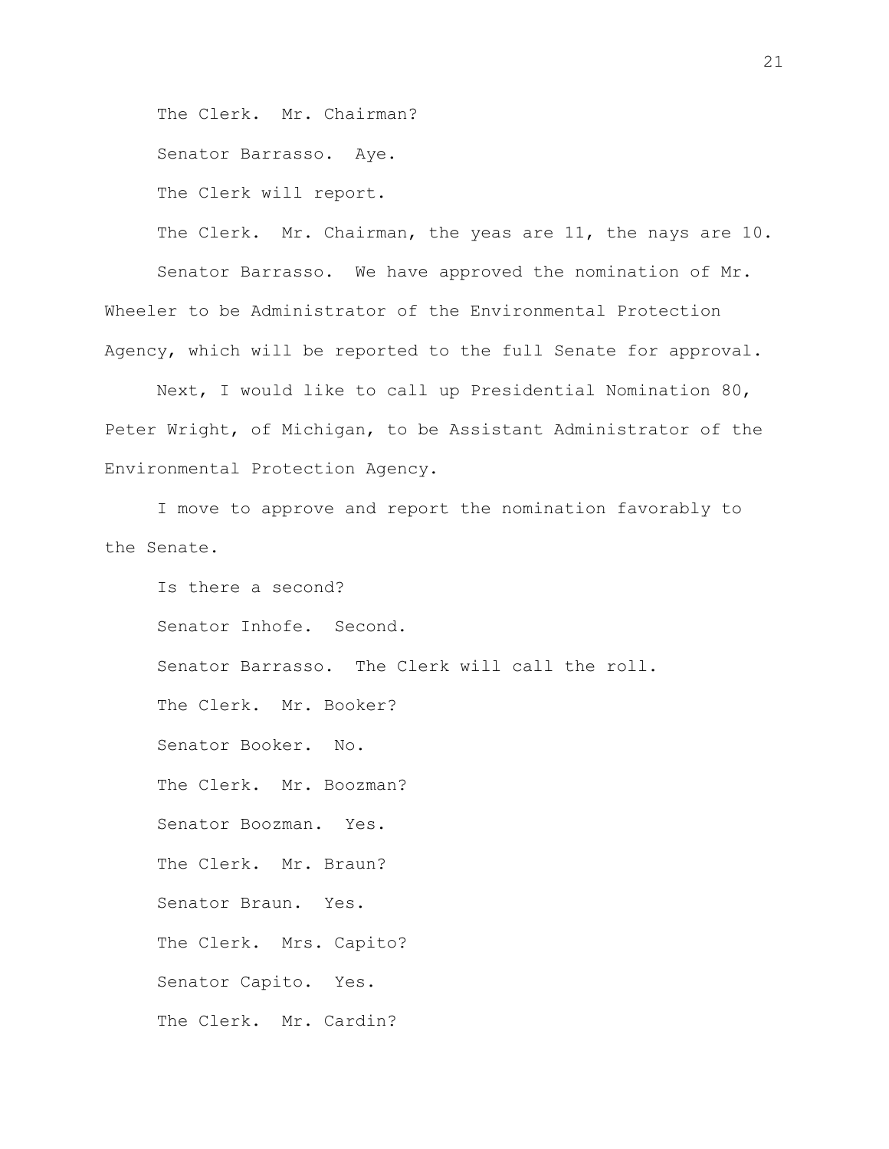The Clerk. Mr. Chairman?

Senator Barrasso. Aye.

The Clerk will report.

The Clerk. Mr. Chairman, the yeas are 11, the nays are 10. Senator Barrasso. We have approved the nomination of Mr. Wheeler to be Administrator of the Environmental Protection Agency, which will be reported to the full Senate for approval.

Next, I would like to call up Presidential Nomination 80, Peter Wright, of Michigan, to be Assistant Administrator of the Environmental Protection Agency.

I move to approve and report the nomination favorably to the Senate.

Is there a second? Senator Inhofe. Second. Senator Barrasso. The Clerk will call the roll. The Clerk. Mr. Booker? Senator Booker. No. The Clerk. Mr. Boozman? Senator Boozman. Yes. The Clerk. Mr. Braun? Senator Braun. Yes. The Clerk. Mrs. Capito? Senator Capito. Yes. The Clerk. Mr. Cardin?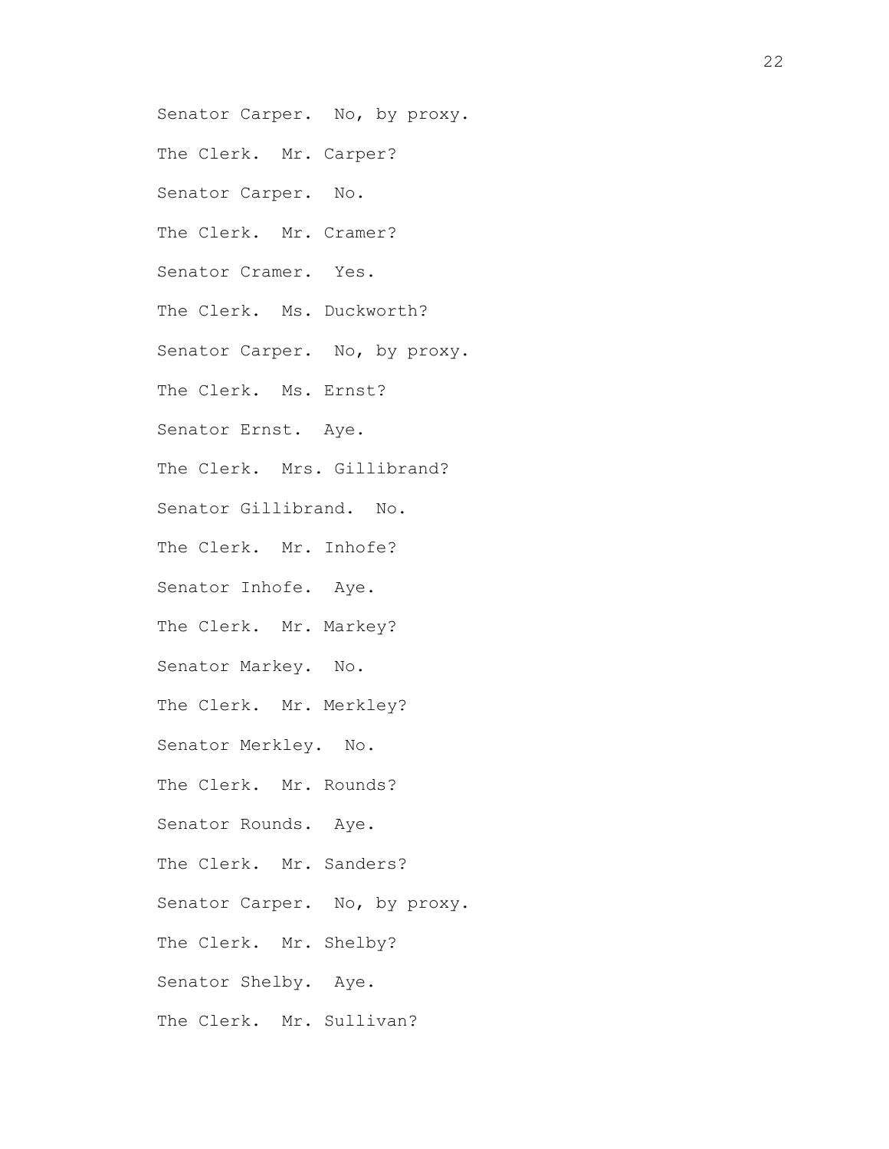Senator Carper. No, by proxy. The Clerk. Mr. Carper? Senator Carper. No. The Clerk. Mr. Cramer? Senator Cramer. Yes. The Clerk. Ms. Duckworth? Senator Carper. No, by proxy. The Clerk. Ms. Ernst? Senator Ernst. Aye. The Clerk. Mrs. Gillibrand? Senator Gillibrand. No. The Clerk. Mr. Inhofe? Senator Inhofe. Aye. The Clerk. Mr. Markey? Senator Markey. No. The Clerk. Mr. Merkley? Senator Merkley. No. The Clerk. Mr. Rounds? Senator Rounds. Aye. The Clerk. Mr. Sanders? Senator Carper. No, by proxy. The Clerk. Mr. Shelby? Senator Shelby. Aye. The Clerk. Mr. Sullivan?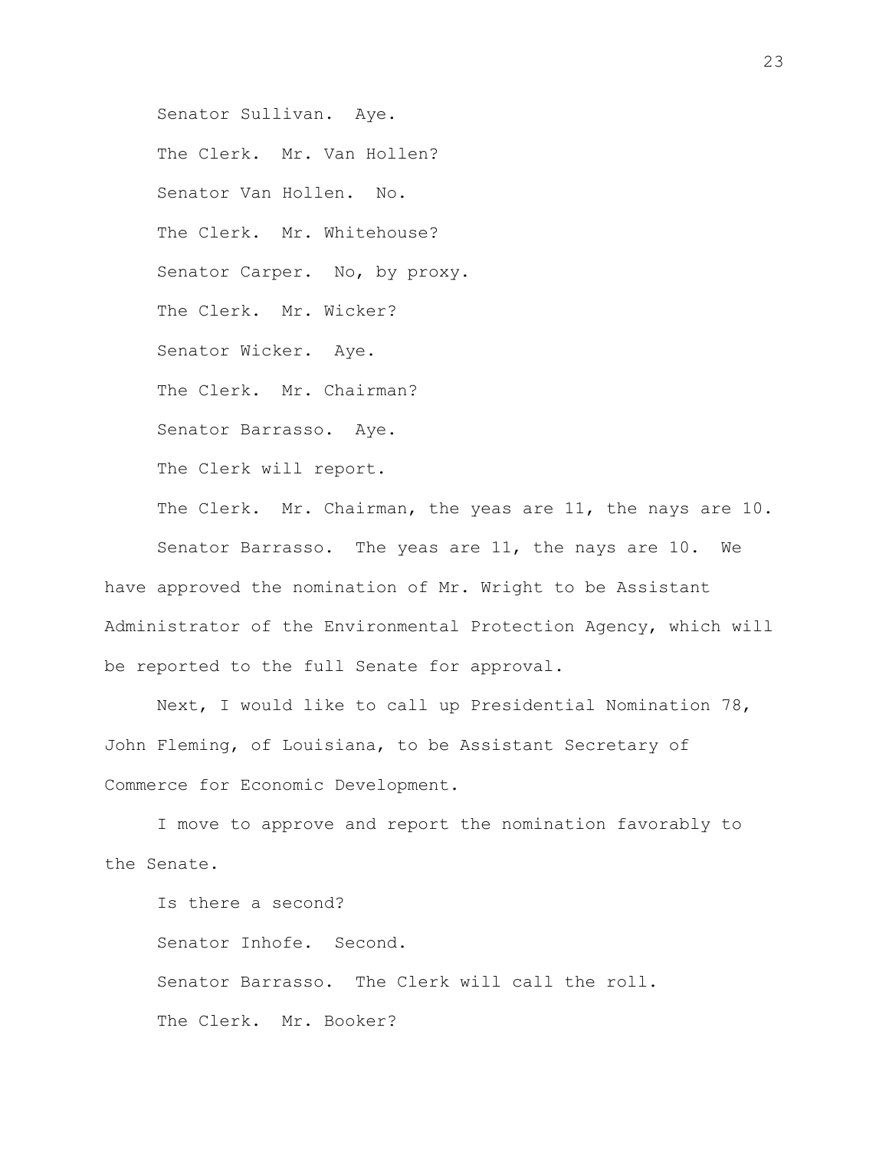Senator Sullivan. Aye. The Clerk. Mr. Van Hollen? Senator Van Hollen. No. The Clerk. Mr. Whitehouse? Senator Carper. No, by proxy. The Clerk. Mr. Wicker? Senator Wicker. Aye. The Clerk. Mr. Chairman? Senator Barrasso. Aye. The Clerk will report. The Clerk. Mr. Chairman, the yeas are 11, the nays are 10. Senator Barrasso. The yeas are 11, the nays are 10. We

have approved the nomination of Mr. Wright to be Assistant Administrator of the Environmental Protection Agency, which will be reported to the full Senate for approval.

Next, I would like to call up Presidential Nomination 78, John Fleming, of Louisiana, to be Assistant Secretary of Commerce for Economic Development.

I move to approve and report the nomination favorably to the Senate.

Is there a second? Senator Inhofe. Second. Senator Barrasso. The Clerk will call the roll. The Clerk. Mr. Booker?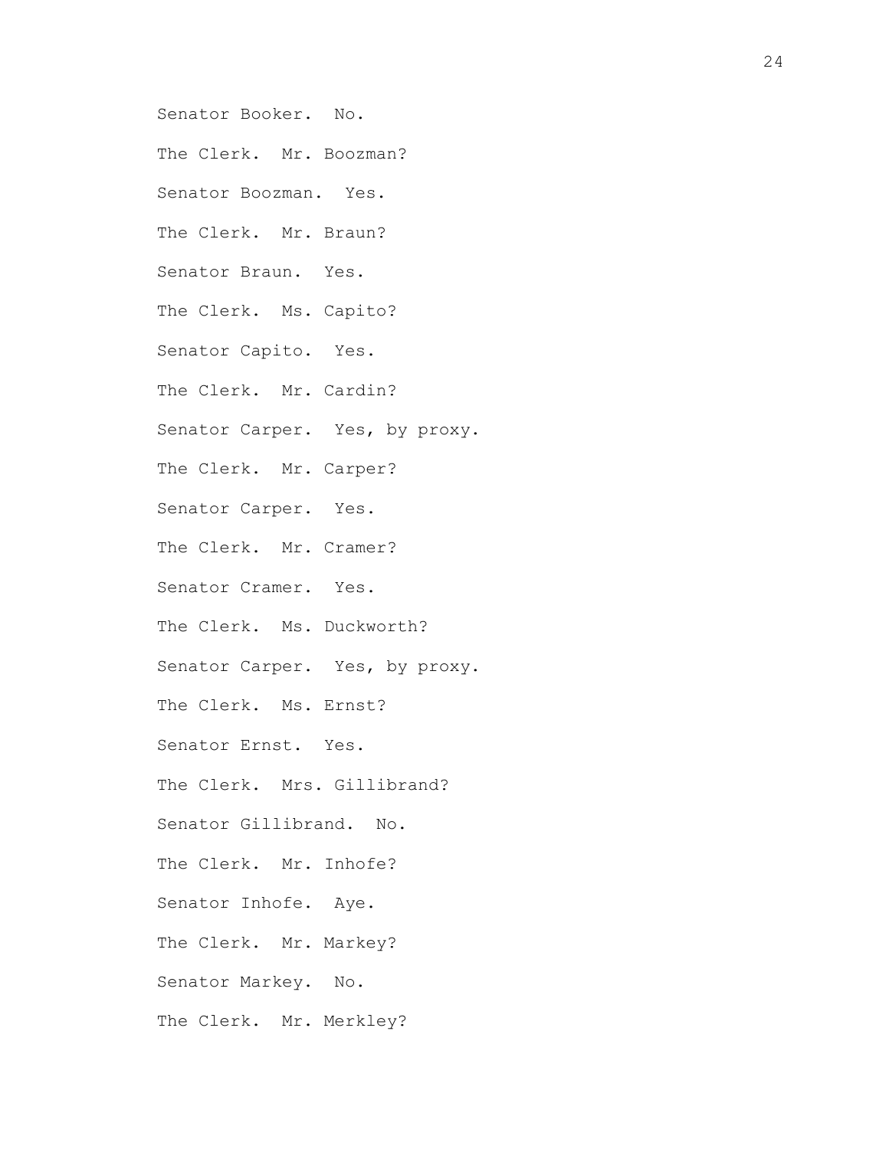Senator Booker. No. The Clerk. Mr. Boozman? Senator Boozman. Yes. The Clerk. Mr. Braun? Senator Braun. Yes. The Clerk. Ms. Capito? Senator Capito. Yes. The Clerk. Mr. Cardin? Senator Carper. Yes, by proxy. The Clerk. Mr. Carper? Senator Carper. Yes. The Clerk. Mr. Cramer? Senator Cramer. Yes. The Clerk. Ms. Duckworth? Senator Carper. Yes, by proxy. The Clerk. Ms. Ernst? Senator Ernst. Yes. The Clerk. Mrs. Gillibrand? Senator Gillibrand. No. The Clerk. Mr. Inhofe? Senator Inhofe. Aye. The Clerk. Mr. Markey? Senator Markey. No. The Clerk. Mr. Merkley?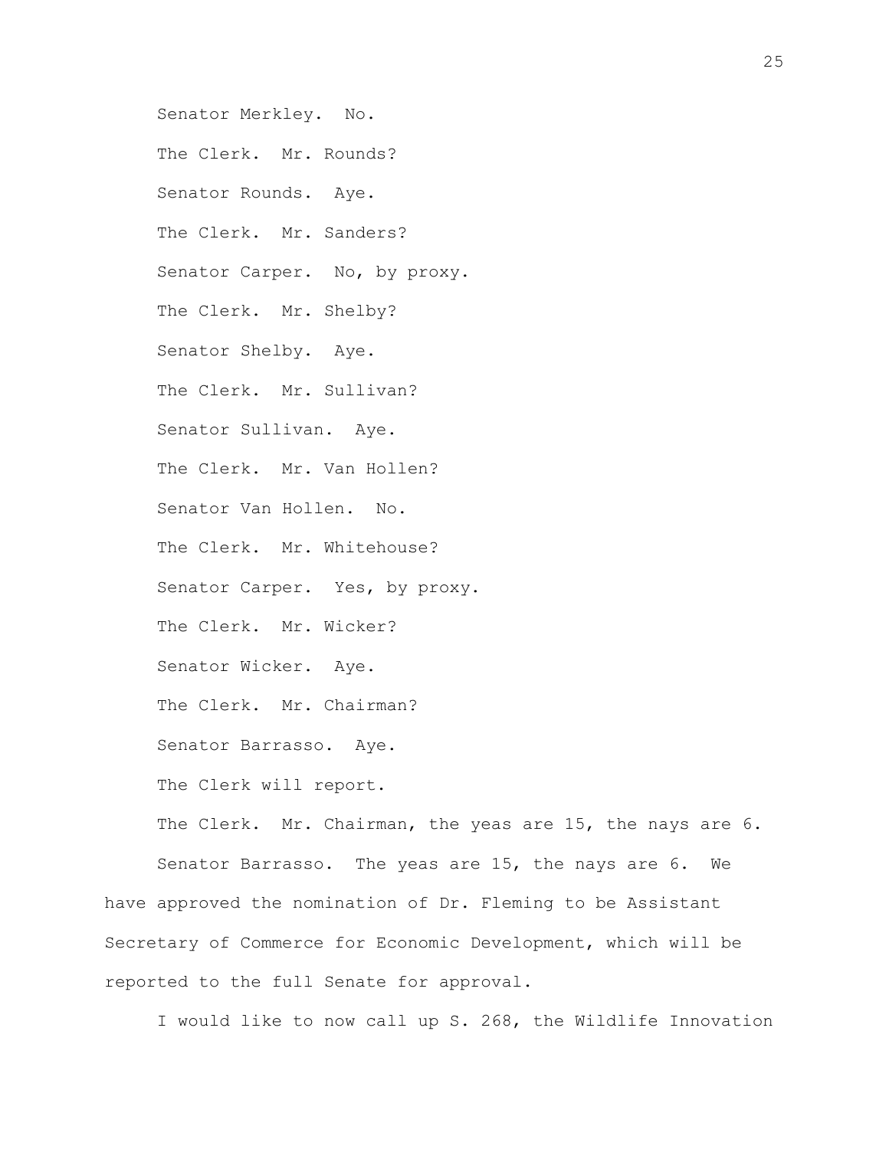Senator Merkley. No. The Clerk. Mr. Rounds? Senator Rounds. Aye. The Clerk. Mr. Sanders? Senator Carper. No, by proxy. The Clerk. Mr. Shelby? Senator Shelby. Aye. The Clerk. Mr. Sullivan? Senator Sullivan. Aye. The Clerk. Mr. Van Hollen? Senator Van Hollen. No. The Clerk. Mr. Whitehouse? Senator Carper. Yes, by proxy. The Clerk. Mr. Wicker? Senator Wicker. Aye. The Clerk. Mr. Chairman? Senator Barrasso. Aye. The Clerk will report. The Clerk. Mr. Chairman, the yeas are 15, the nays are 6.

Senator Barrasso. The yeas are 15, the nays are 6. We have approved the nomination of Dr. Fleming to be Assistant Secretary of Commerce for Economic Development, which will be reported to the full Senate for approval.

I would like to now call up S. 268, the Wildlife Innovation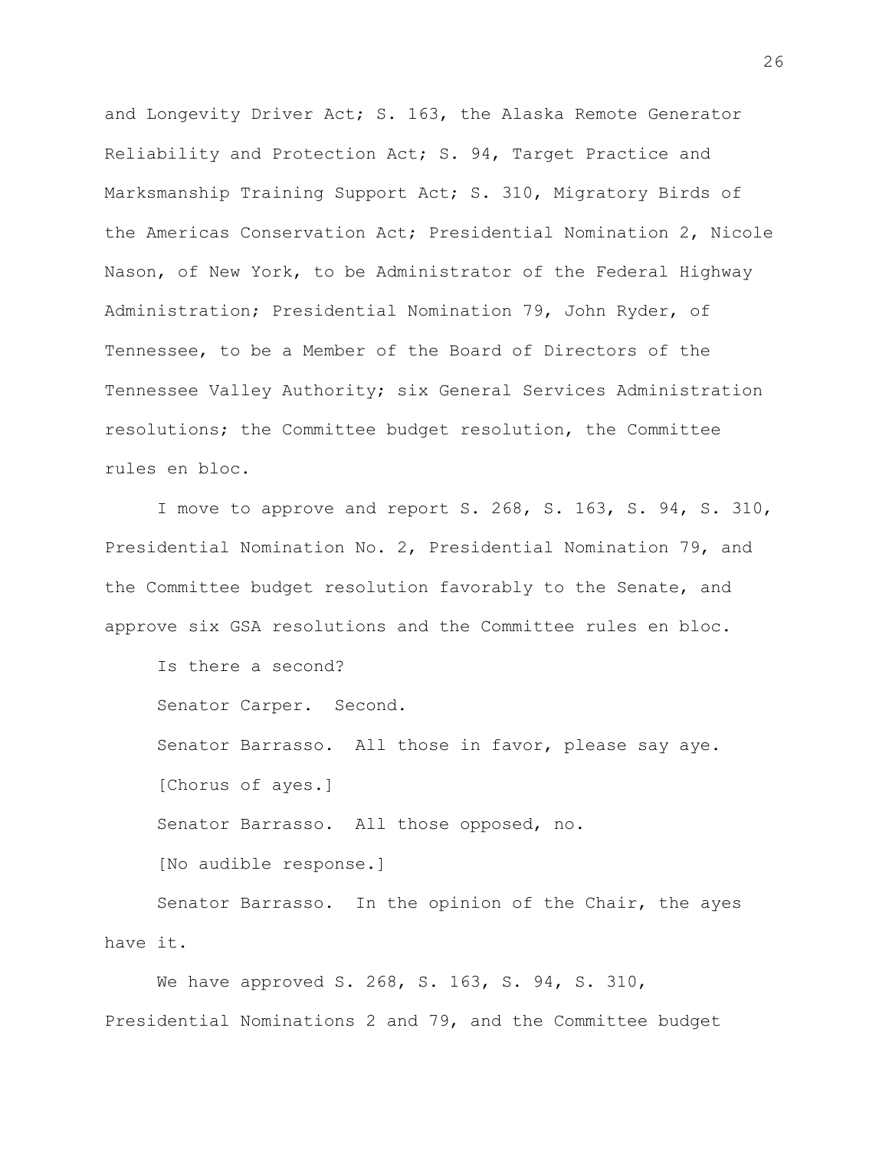and Longevity Driver Act; S. 163, the Alaska Remote Generator Reliability and Protection Act; S. 94, Target Practice and Marksmanship Training Support Act; S. 310, Migratory Birds of the Americas Conservation Act; Presidential Nomination 2, Nicole Nason, of New York, to be Administrator of the Federal Highway Administration; Presidential Nomination 79, John Ryder, of Tennessee, to be a Member of the Board of Directors of the Tennessee Valley Authority; six General Services Administration resolutions; the Committee budget resolution, the Committee rules en bloc.

I move to approve and report S. 268, S. 163, S. 94, S. 310, Presidential Nomination No. 2, Presidential Nomination 79, and the Committee budget resolution favorably to the Senate, and approve six GSA resolutions and the Committee rules en bloc.

Is there a second?

Senator Carper. Second.

Senator Barrasso. All those in favor, please say aye. [Chorus of ayes.]

Senator Barrasso. All those opposed, no.

[No audible response.]

Senator Barrasso. In the opinion of the Chair, the ayes have it.

We have approved S. 268, S. 163, S. 94, S. 310, Presidential Nominations 2 and 79, and the Committee budget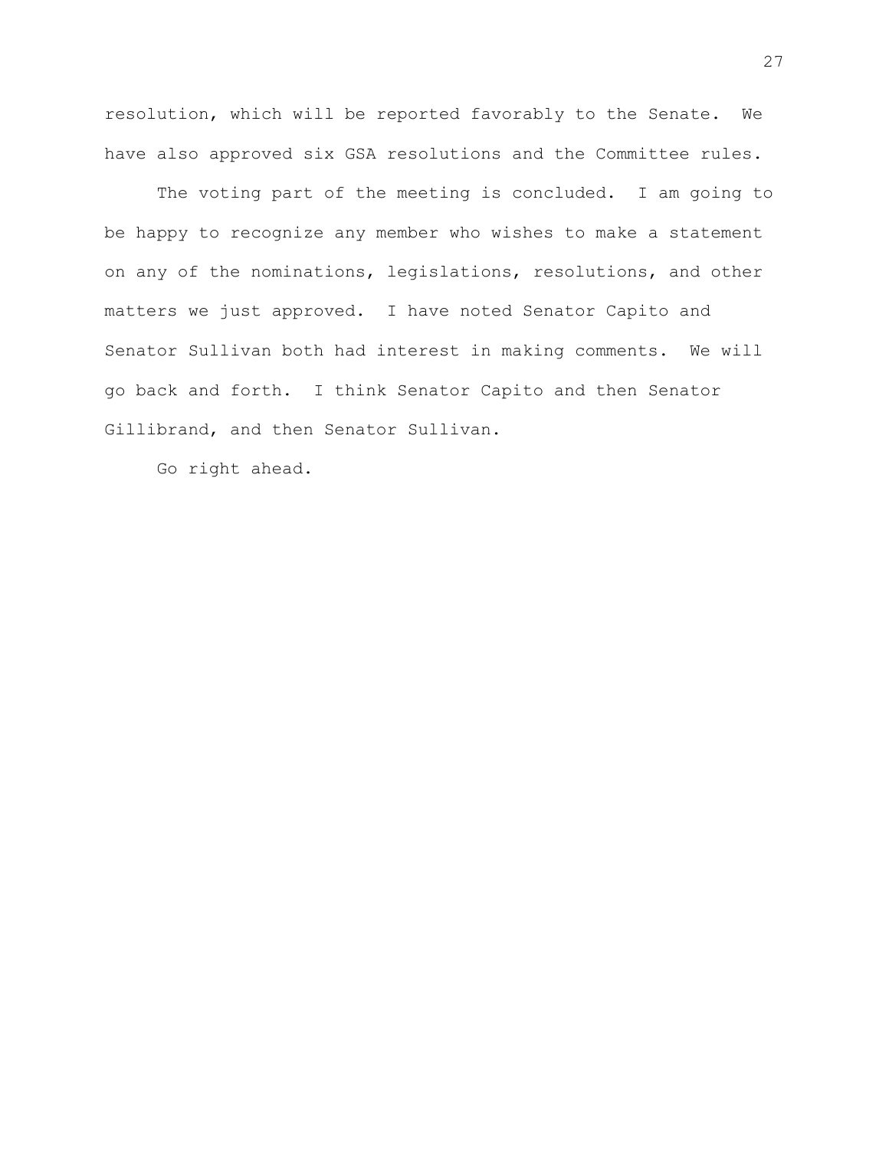resolution, which will be reported favorably to the Senate. We have also approved six GSA resolutions and the Committee rules.

The voting part of the meeting is concluded. I am going to be happy to recognize any member who wishes to make a statement on any of the nominations, legislations, resolutions, and other matters we just approved. I have noted Senator Capito and Senator Sullivan both had interest in making comments. We will go back and forth. I think Senator Capito and then Senator Gillibrand, and then Senator Sullivan.

Go right ahead.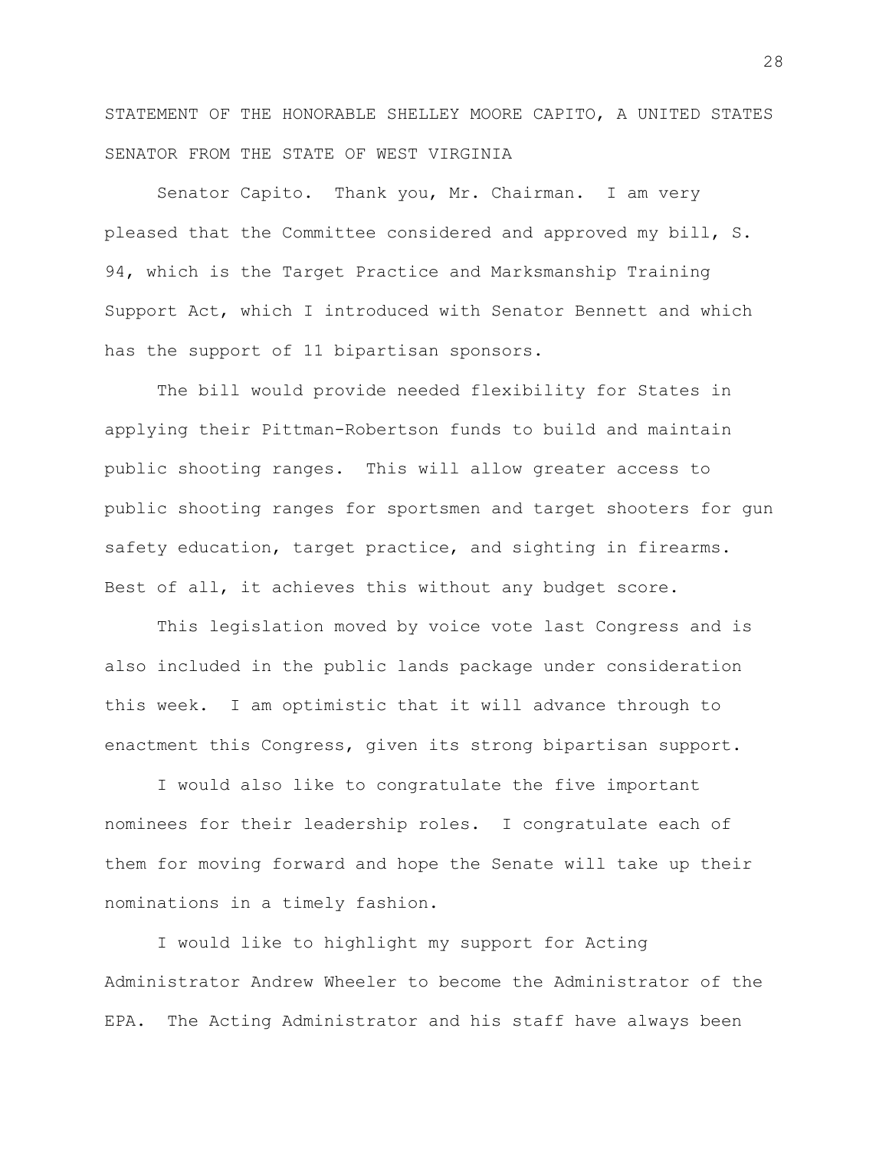STATEMENT OF THE HONORABLE SHELLEY MOORE CAPITO, A UNITED STATES SENATOR FROM THE STATE OF WEST VIRGINIA

Senator Capito. Thank you, Mr. Chairman. I am very pleased that the Committee considered and approved my bill, S. 94, which is the Target Practice and Marksmanship Training Support Act, which I introduced with Senator Bennett and which has the support of 11 bipartisan sponsors.

The bill would provide needed flexibility for States in applying their Pittman-Robertson funds to build and maintain public shooting ranges. This will allow greater access to public shooting ranges for sportsmen and target shooters for gun safety education, target practice, and sighting in firearms. Best of all, it achieves this without any budget score.

This legislation moved by voice vote last Congress and is also included in the public lands package under consideration this week. I am optimistic that it will advance through to enactment this Congress, given its strong bipartisan support.

I would also like to congratulate the five important nominees for their leadership roles. I congratulate each of them for moving forward and hope the Senate will take up their nominations in a timely fashion.

I would like to highlight my support for Acting Administrator Andrew Wheeler to become the Administrator of the EPA. The Acting Administrator and his staff have always been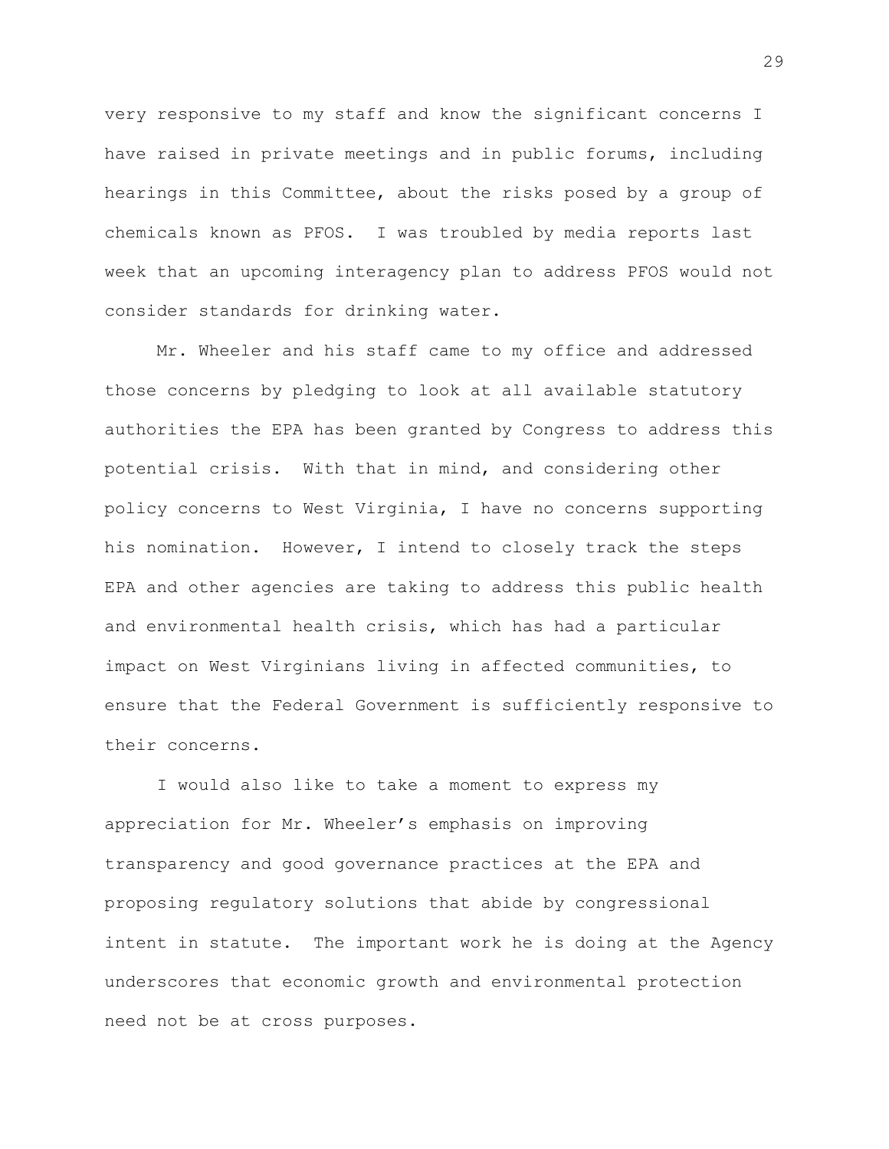very responsive to my staff and know the significant concerns I have raised in private meetings and in public forums, including hearings in this Committee, about the risks posed by a group of chemicals known as PFOS. I was troubled by media reports last week that an upcoming interagency plan to address PFOS would not consider standards for drinking water.

Mr. Wheeler and his staff came to my office and addressed those concerns by pledging to look at all available statutory authorities the EPA has been granted by Congress to address this potential crisis. With that in mind, and considering other policy concerns to West Virginia, I have no concerns supporting his nomination. However, I intend to closely track the steps EPA and other agencies are taking to address this public health and environmental health crisis, which has had a particular impact on West Virginians living in affected communities, to ensure that the Federal Government is sufficiently responsive to their concerns.

I would also like to take a moment to express my appreciation for Mr. Wheeler's emphasis on improving transparency and good governance practices at the EPA and proposing regulatory solutions that abide by congressional intent in statute. The important work he is doing at the Agency underscores that economic growth and environmental protection need not be at cross purposes.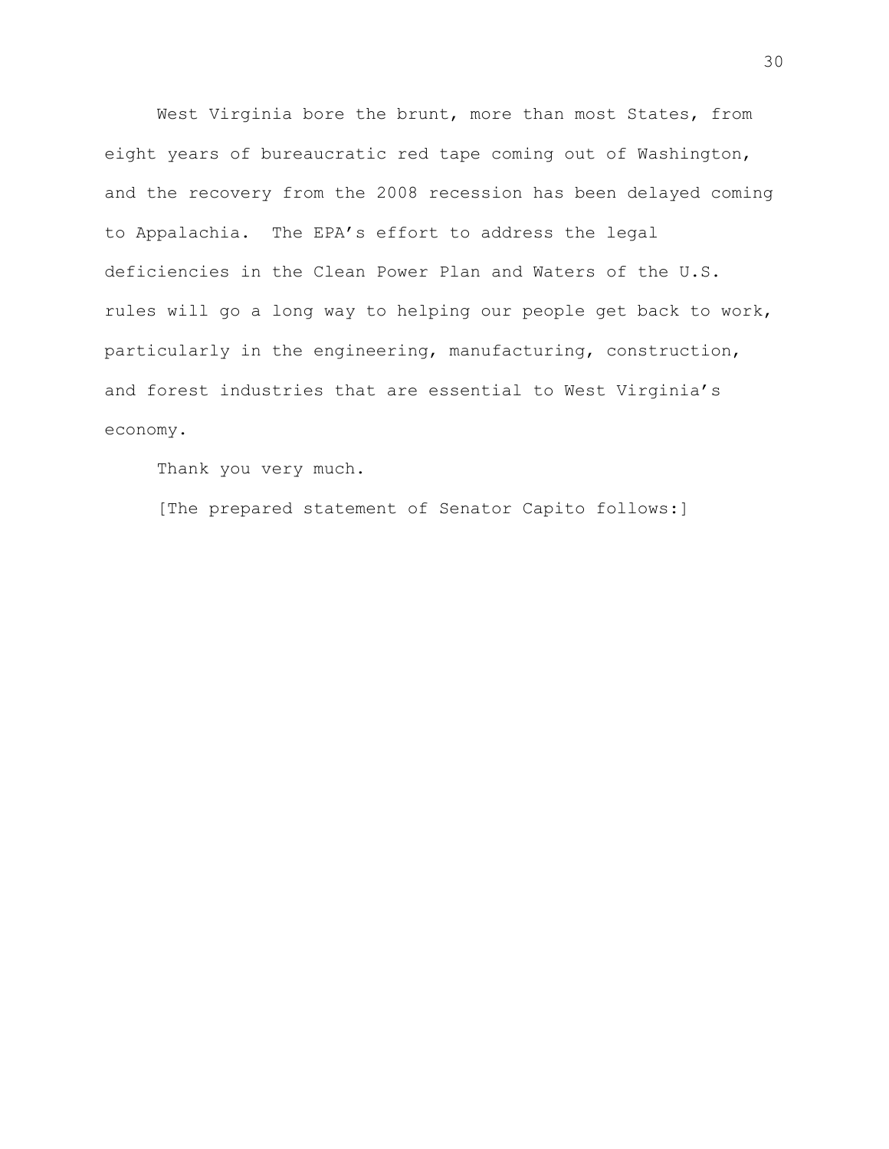West Virginia bore the brunt, more than most States, from eight years of bureaucratic red tape coming out of Washington, and the recovery from the 2008 recession has been delayed coming to Appalachia. The EPA's effort to address the legal deficiencies in the Clean Power Plan and Waters of the U.S. rules will go a long way to helping our people get back to work, particularly in the engineering, manufacturing, construction, and forest industries that are essential to West Virginia's economy.

Thank you very much.

[The prepared statement of Senator Capito follows:]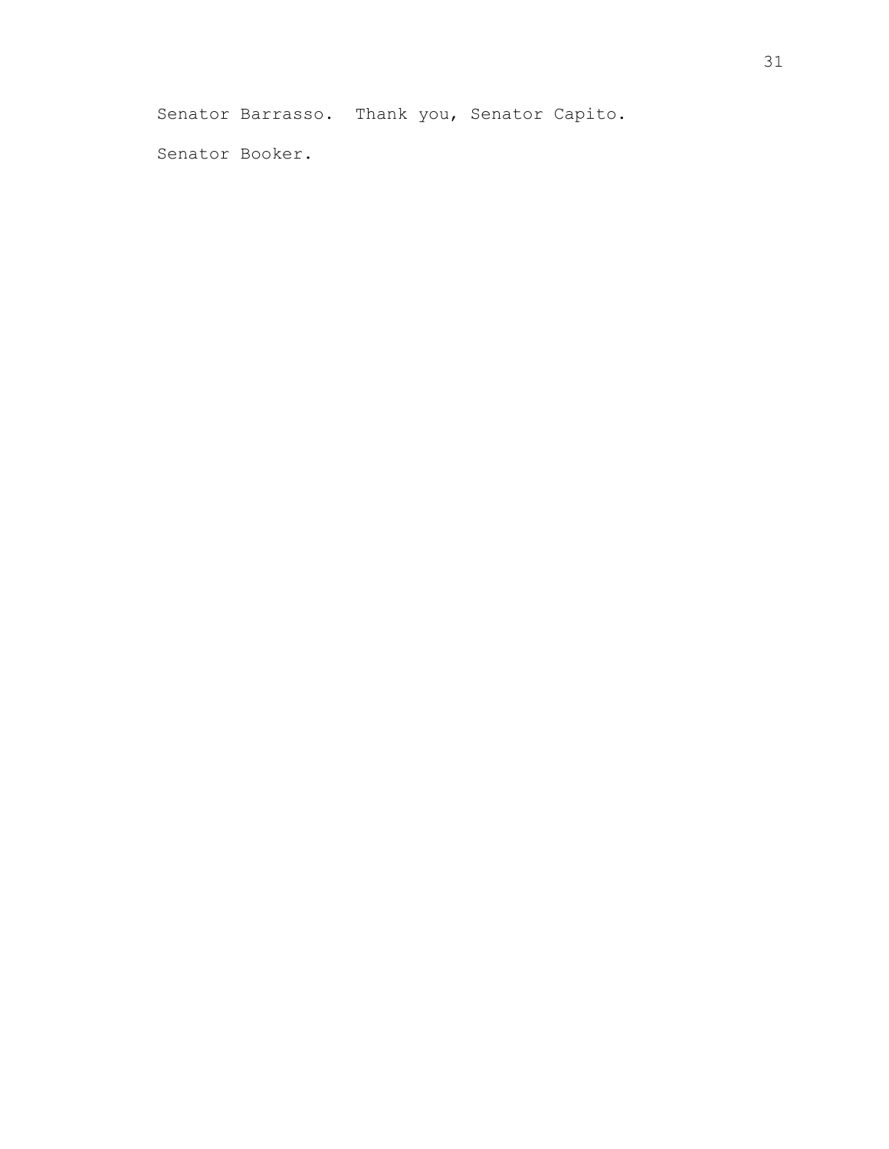Senator Barrasso. Thank you, Senator Capito.

Senator Booker.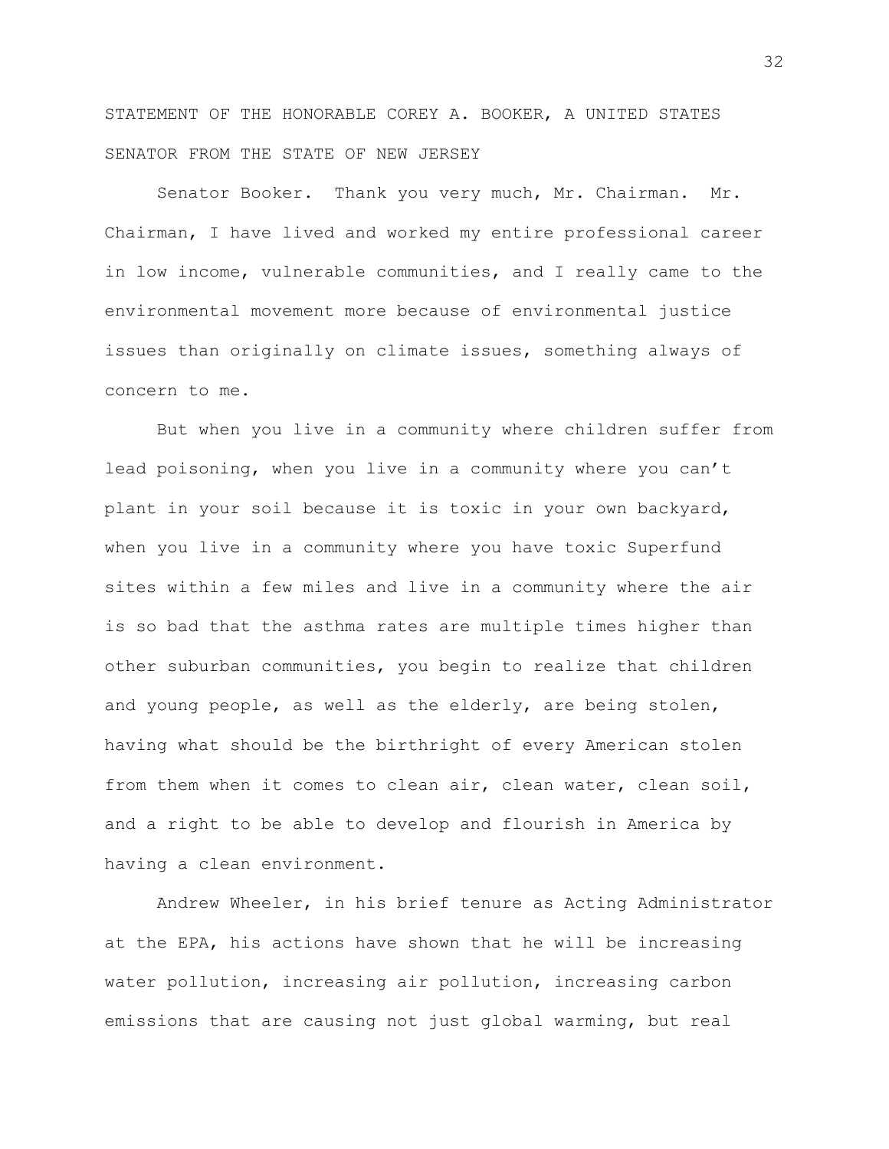STATEMENT OF THE HONORABLE COREY A. BOOKER, A UNITED STATES SENATOR FROM THE STATE OF NEW JERSEY

Senator Booker. Thank you very much, Mr. Chairman. Mr. Chairman, I have lived and worked my entire professional career in low income, vulnerable communities, and I really came to the environmental movement more because of environmental justice issues than originally on climate issues, something always of concern to me.

But when you live in a community where children suffer from lead poisoning, when you live in a community where you can't plant in your soil because it is toxic in your own backyard, when you live in a community where you have toxic Superfund sites within a few miles and live in a community where the air is so bad that the asthma rates are multiple times higher than other suburban communities, you begin to realize that children and young people, as well as the elderly, are being stolen, having what should be the birthright of every American stolen from them when it comes to clean air, clean water, clean soil, and a right to be able to develop and flourish in America by having a clean environment.

Andrew Wheeler, in his brief tenure as Acting Administrator at the EPA, his actions have shown that he will be increasing water pollution, increasing air pollution, increasing carbon emissions that are causing not just global warming, but real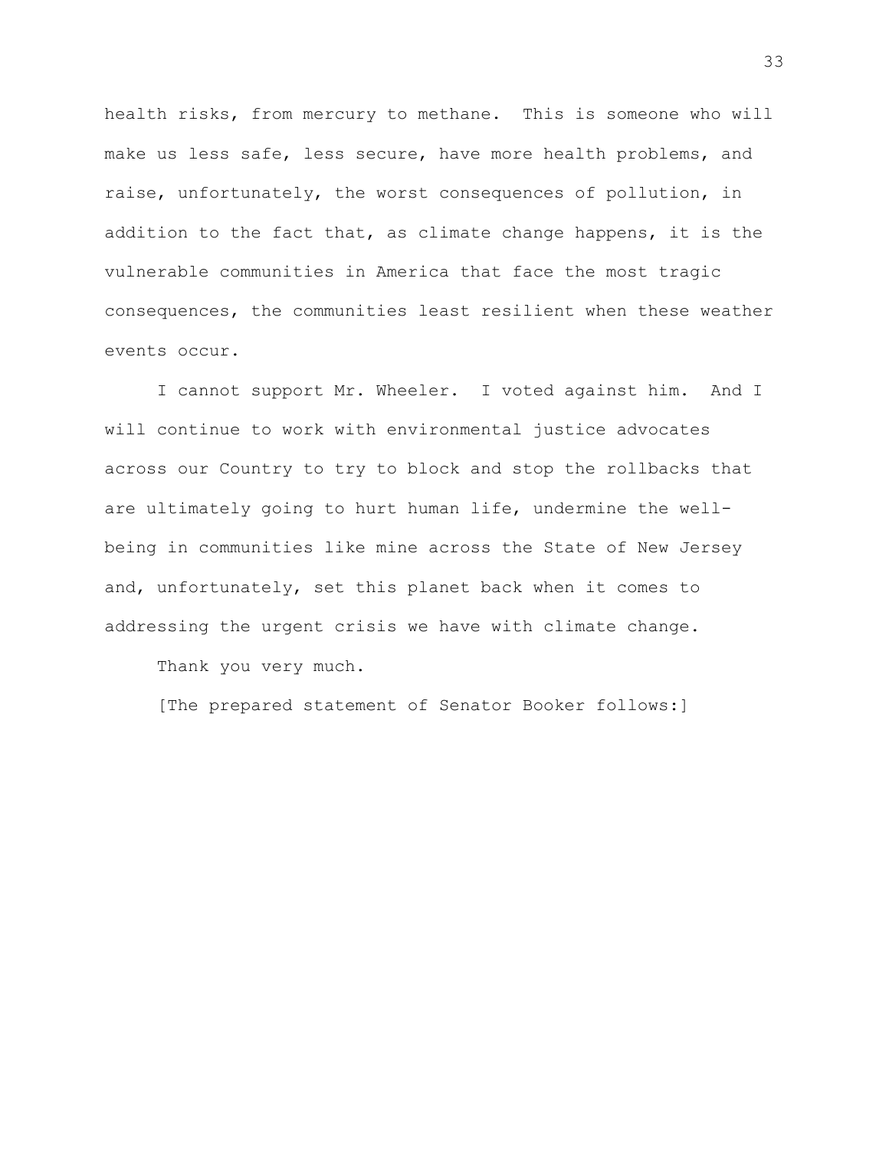health risks, from mercury to methane. This is someone who will make us less safe, less secure, have more health problems, and raise, unfortunately, the worst consequences of pollution, in addition to the fact that, as climate change happens, it is the vulnerable communities in America that face the most tragic consequences, the communities least resilient when these weather events occur.

I cannot support Mr. Wheeler. I voted against him. And I will continue to work with environmental justice advocates across our Country to try to block and stop the rollbacks that are ultimately going to hurt human life, undermine the wellbeing in communities like mine across the State of New Jersey and, unfortunately, set this planet back when it comes to addressing the urgent crisis we have with climate change.

Thank you very much.

[The prepared statement of Senator Booker follows:]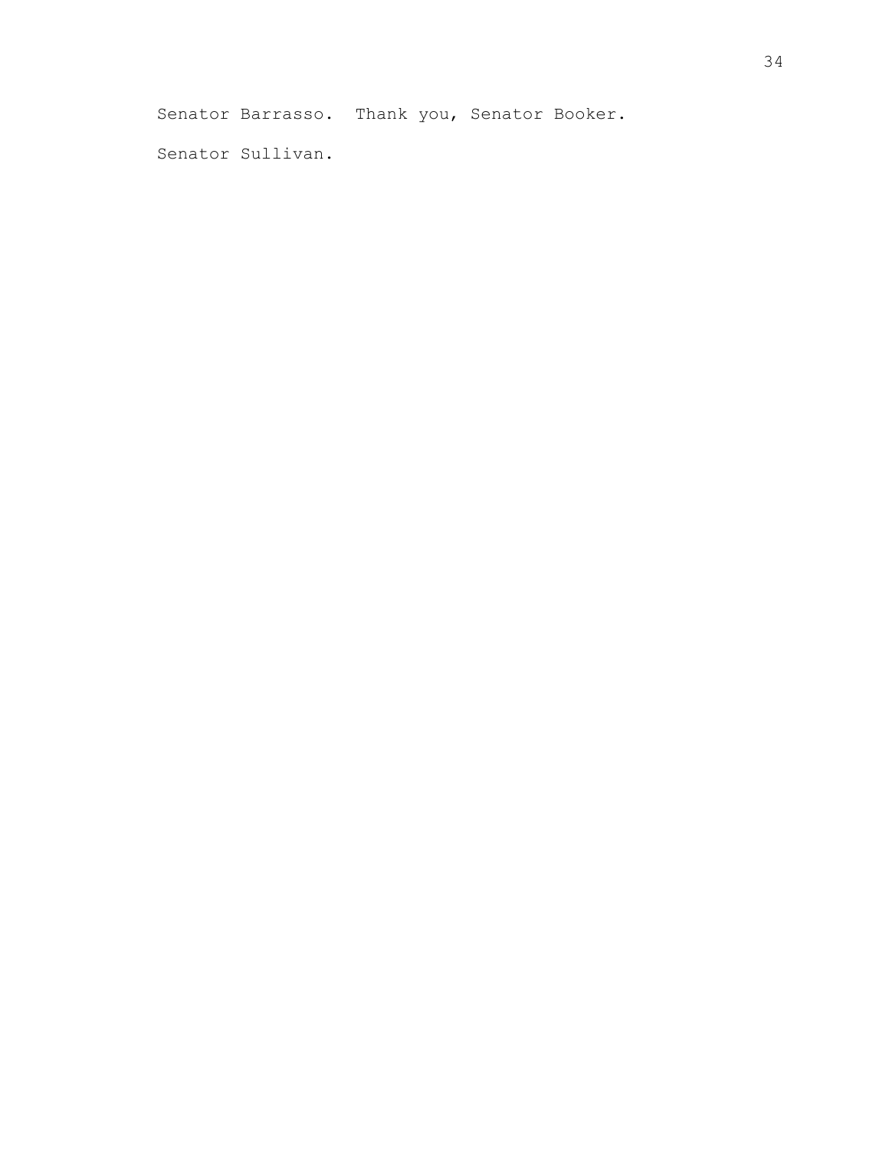Senator Barrasso. Thank you, Senator Booker.

Senator Sullivan.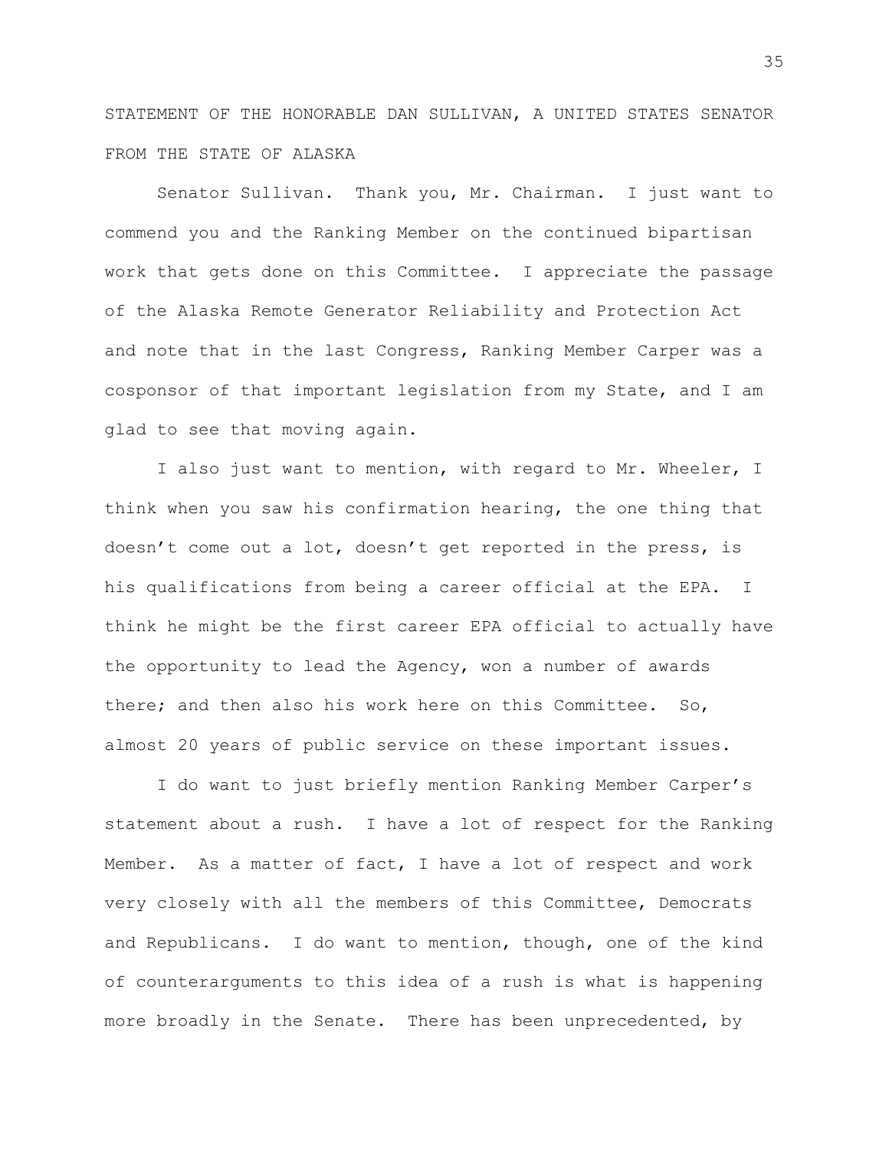STATEMENT OF THE HONORABLE DAN SULLIVAN, A UNITED STATES SENATOR FROM THE STATE OF ALASKA

Senator Sullivan. Thank you, Mr. Chairman. I just want to commend you and the Ranking Member on the continued bipartisan work that gets done on this Committee. I appreciate the passage of the Alaska Remote Generator Reliability and Protection Act and note that in the last Congress, Ranking Member Carper was a cosponsor of that important legislation from my State, and I am glad to see that moving again.

I also just want to mention, with regard to Mr. Wheeler, I think when you saw his confirmation hearing, the one thing that doesn't come out a lot, doesn't get reported in the press, is his qualifications from being a career official at the EPA. I think he might be the first career EPA official to actually have the opportunity to lead the Agency, won a number of awards there; and then also his work here on this Committee. So, almost 20 years of public service on these important issues.

I do want to just briefly mention Ranking Member Carper's statement about a rush. I have a lot of respect for the Ranking Member. As a matter of fact, I have a lot of respect and work very closely with all the members of this Committee, Democrats and Republicans. I do want to mention, though, one of the kind of counterarguments to this idea of a rush is what is happening more broadly in the Senate. There has been unprecedented, by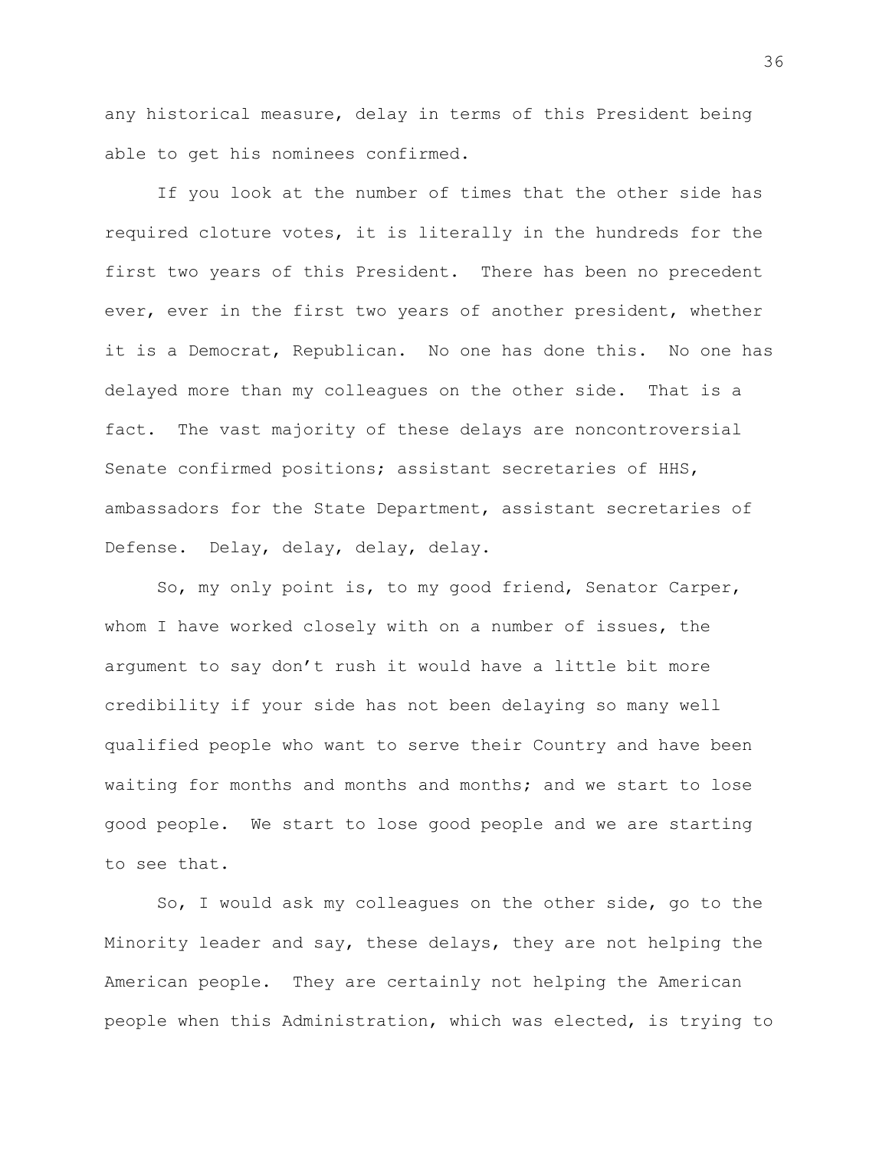any historical measure, delay in terms of this President being able to get his nominees confirmed.

If you look at the number of times that the other side has required cloture votes, it is literally in the hundreds for the first two years of this President. There has been no precedent ever, ever in the first two years of another president, whether it is a Democrat, Republican. No one has done this. No one has delayed more than my colleagues on the other side. That is a fact. The vast majority of these delays are noncontroversial Senate confirmed positions; assistant secretaries of HHS, ambassadors for the State Department, assistant secretaries of Defense. Delay, delay, delay, delay.

So, my only point is, to my good friend, Senator Carper, whom I have worked closely with on a number of issues, the argument to say don't rush it would have a little bit more credibility if your side has not been delaying so many well qualified people who want to serve their Country and have been waiting for months and months and months; and we start to lose good people. We start to lose good people and we are starting to see that.

So, I would ask my colleagues on the other side, go to the Minority leader and say, these delays, they are not helping the American people. They are certainly not helping the American people when this Administration, which was elected, is trying to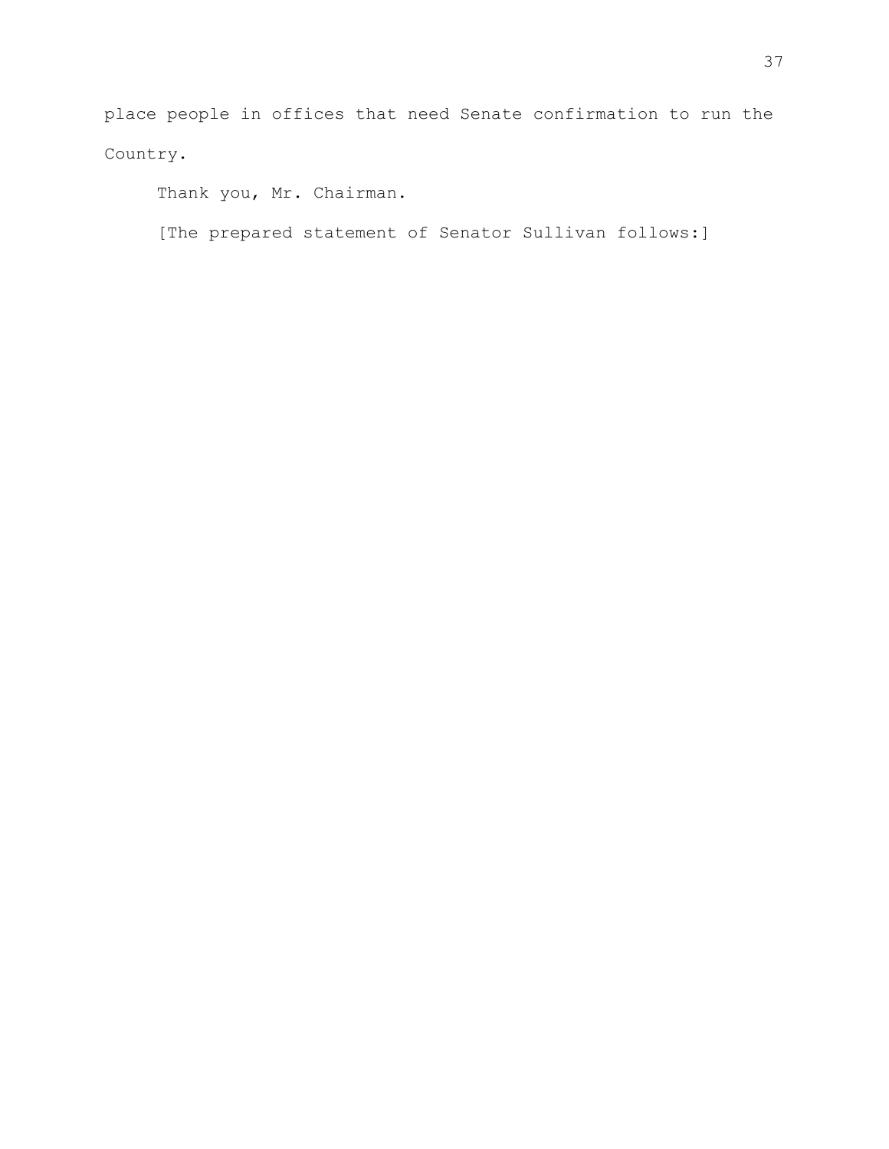place people in offices that need Senate confirmation to run the Country.

Thank you, Mr. Chairman.

[The prepared statement of Senator Sullivan follows:]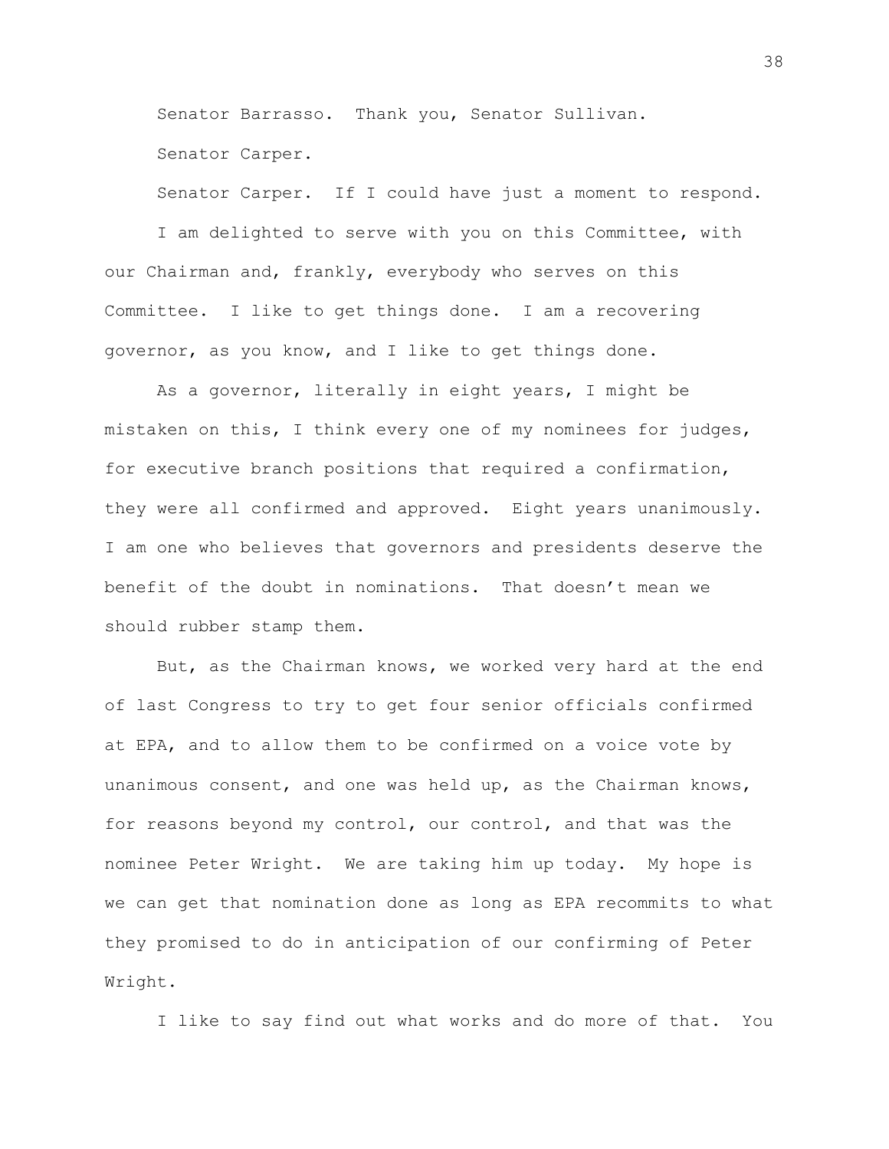Senator Barrasso. Thank you, Senator Sullivan.

Senator Carper.

Senator Carper. If I could have just a moment to respond.

I am delighted to serve with you on this Committee, with our Chairman and, frankly, everybody who serves on this Committee. I like to get things done. I am a recovering governor, as you know, and I like to get things done.

As a governor, literally in eight years, I might be mistaken on this, I think every one of my nominees for judges, for executive branch positions that required a confirmation, they were all confirmed and approved. Eight years unanimously. I am one who believes that governors and presidents deserve the benefit of the doubt in nominations. That doesn't mean we should rubber stamp them.

But, as the Chairman knows, we worked very hard at the end of last Congress to try to get four senior officials confirmed at EPA, and to allow them to be confirmed on a voice vote by unanimous consent, and one was held up, as the Chairman knows, for reasons beyond my control, our control, and that was the nominee Peter Wright. We are taking him up today. My hope is we can get that nomination done as long as EPA recommits to what they promised to do in anticipation of our confirming of Peter Wright.

I like to say find out what works and do more of that. You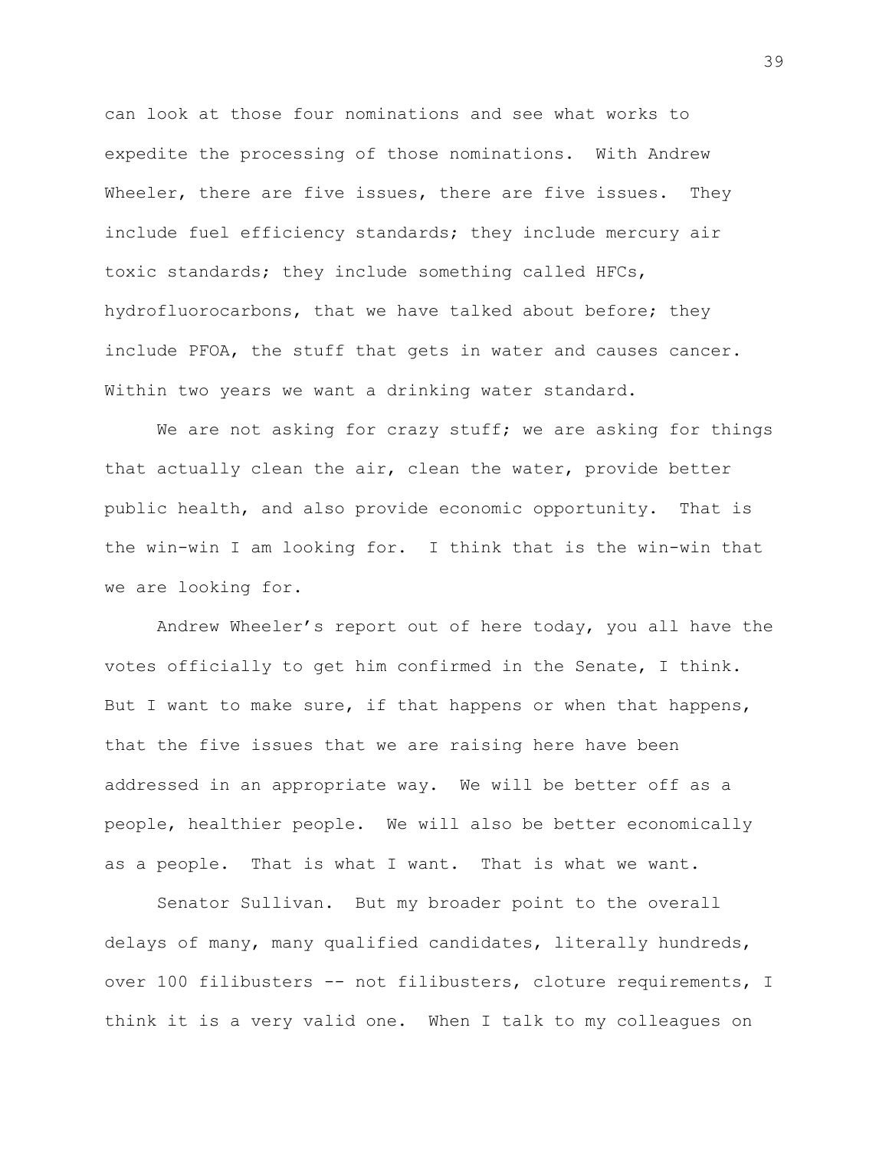can look at those four nominations and see what works to expedite the processing of those nominations. With Andrew Wheeler, there are five issues, there are five issues. They include fuel efficiency standards; they include mercury air toxic standards; they include something called HFCs, hydrofluorocarbons, that we have talked about before; they include PFOA, the stuff that gets in water and causes cancer. Within two years we want a drinking water standard.

We are not asking for crazy stuff; we are asking for things that actually clean the air, clean the water, provide better public health, and also provide economic opportunity. That is the win-win I am looking for. I think that is the win-win that we are looking for.

Andrew Wheeler's report out of here today, you all have the votes officially to get him confirmed in the Senate, I think. But I want to make sure, if that happens or when that happens, that the five issues that we are raising here have been addressed in an appropriate way. We will be better off as a people, healthier people. We will also be better economically as a people. That is what I want. That is what we want.

Senator Sullivan. But my broader point to the overall delays of many, many qualified candidates, literally hundreds, over 100 filibusters -- not filibusters, cloture requirements, I think it is a very valid one. When I talk to my colleagues on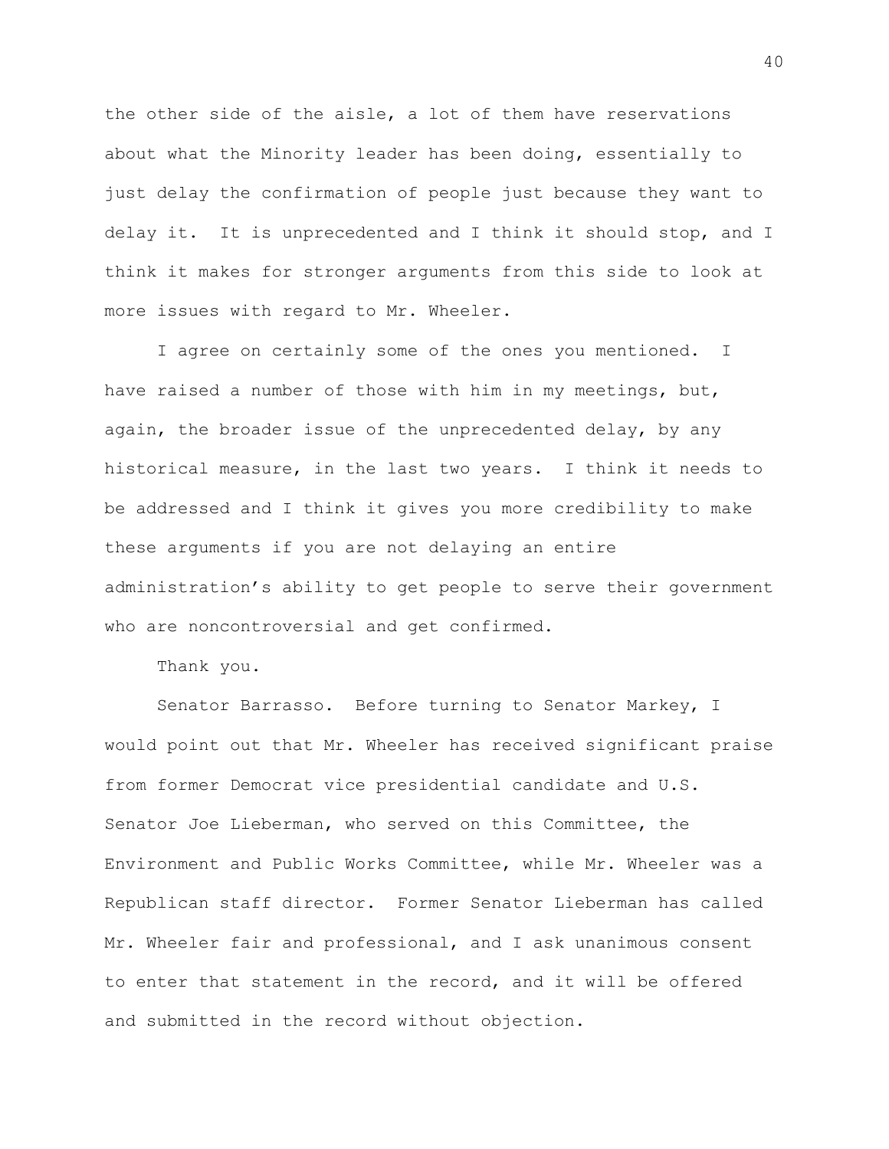the other side of the aisle, a lot of them have reservations about what the Minority leader has been doing, essentially to just delay the confirmation of people just because they want to delay it. It is unprecedented and I think it should stop, and I think it makes for stronger arguments from this side to look at more issues with regard to Mr. Wheeler.

I agree on certainly some of the ones you mentioned. I have raised a number of those with him in my meetings, but, again, the broader issue of the unprecedented delay, by any historical measure, in the last two years. I think it needs to be addressed and I think it gives you more credibility to make these arguments if you are not delaying an entire administration's ability to get people to serve their government who are noncontroversial and get confirmed.

Thank you.

Senator Barrasso. Before turning to Senator Markey, I would point out that Mr. Wheeler has received significant praise from former Democrat vice presidential candidate and U.S. Senator Joe Lieberman, who served on this Committee, the Environment and Public Works Committee, while Mr. Wheeler was a Republican staff director. Former Senator Lieberman has called Mr. Wheeler fair and professional, and I ask unanimous consent to enter that statement in the record, and it will be offered and submitted in the record without objection.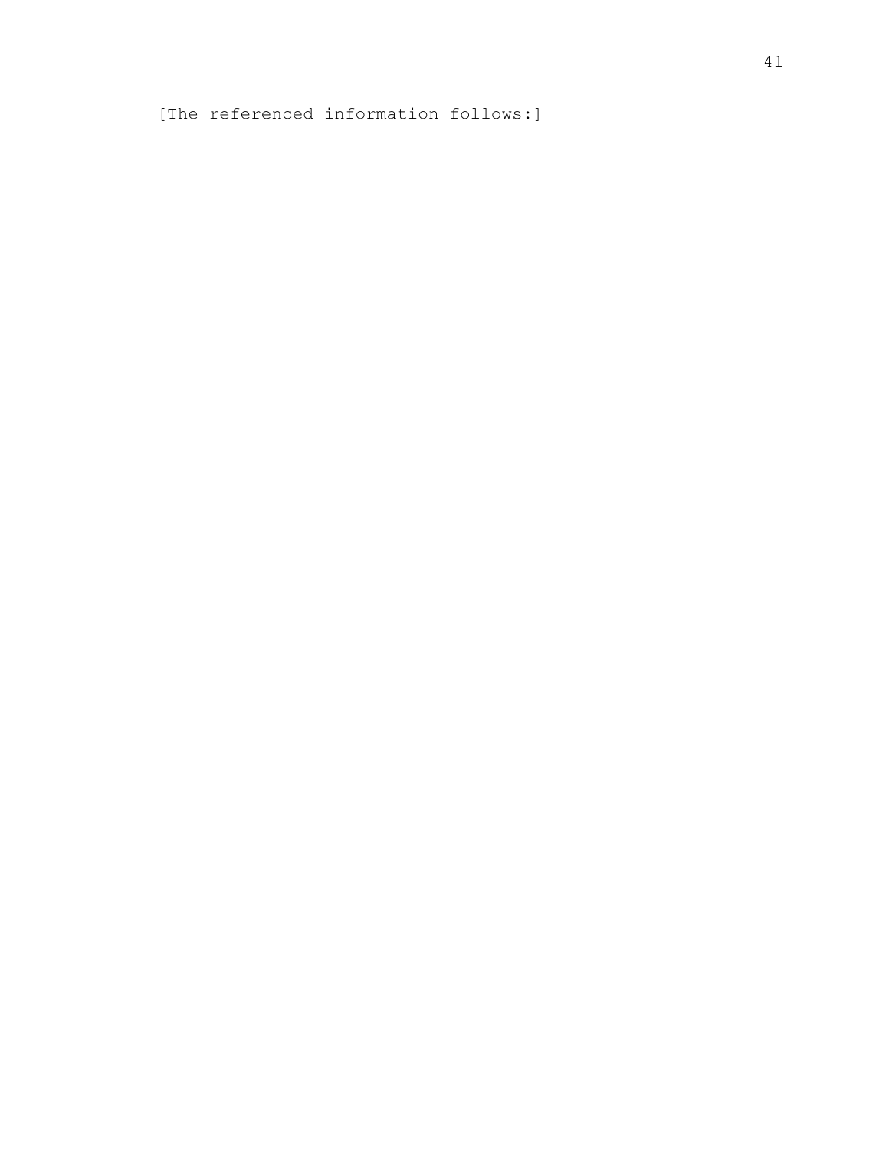[The referenced information follows:]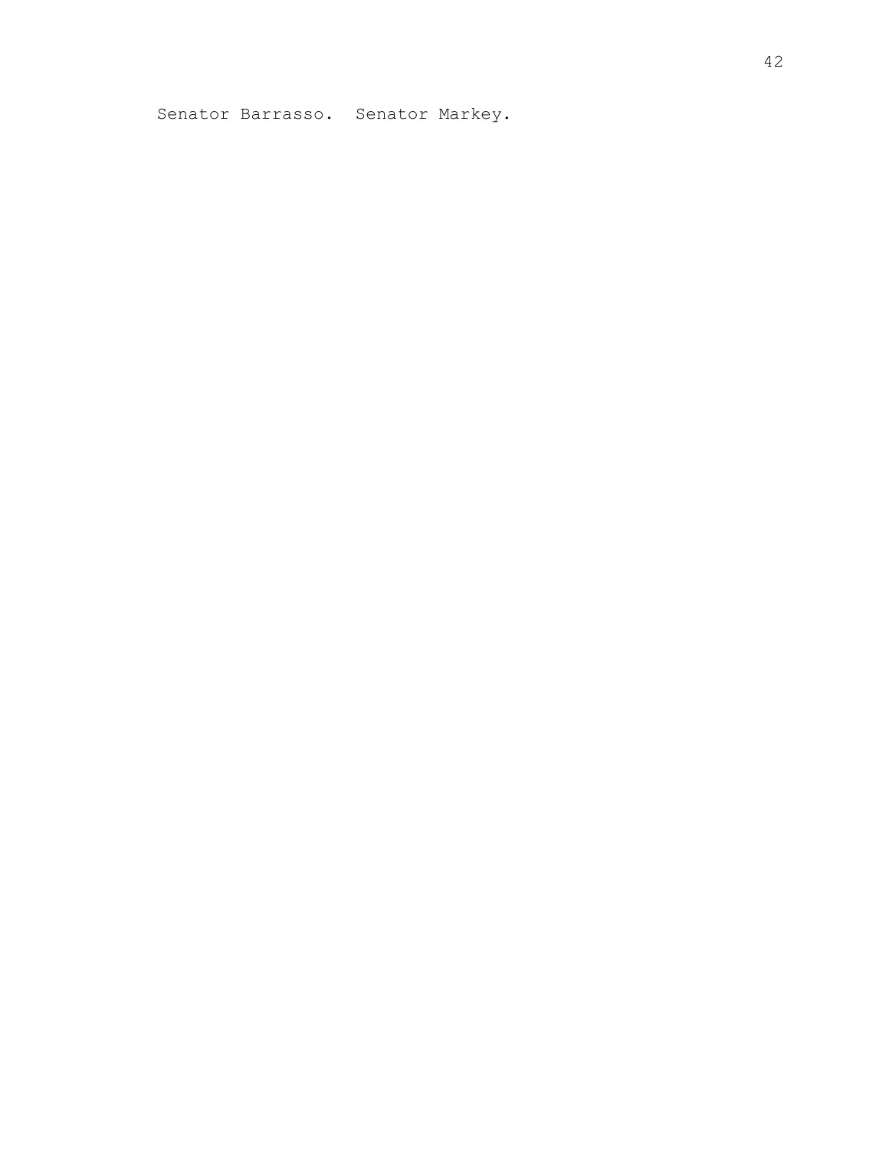Senator Barrasso. Senator Markey.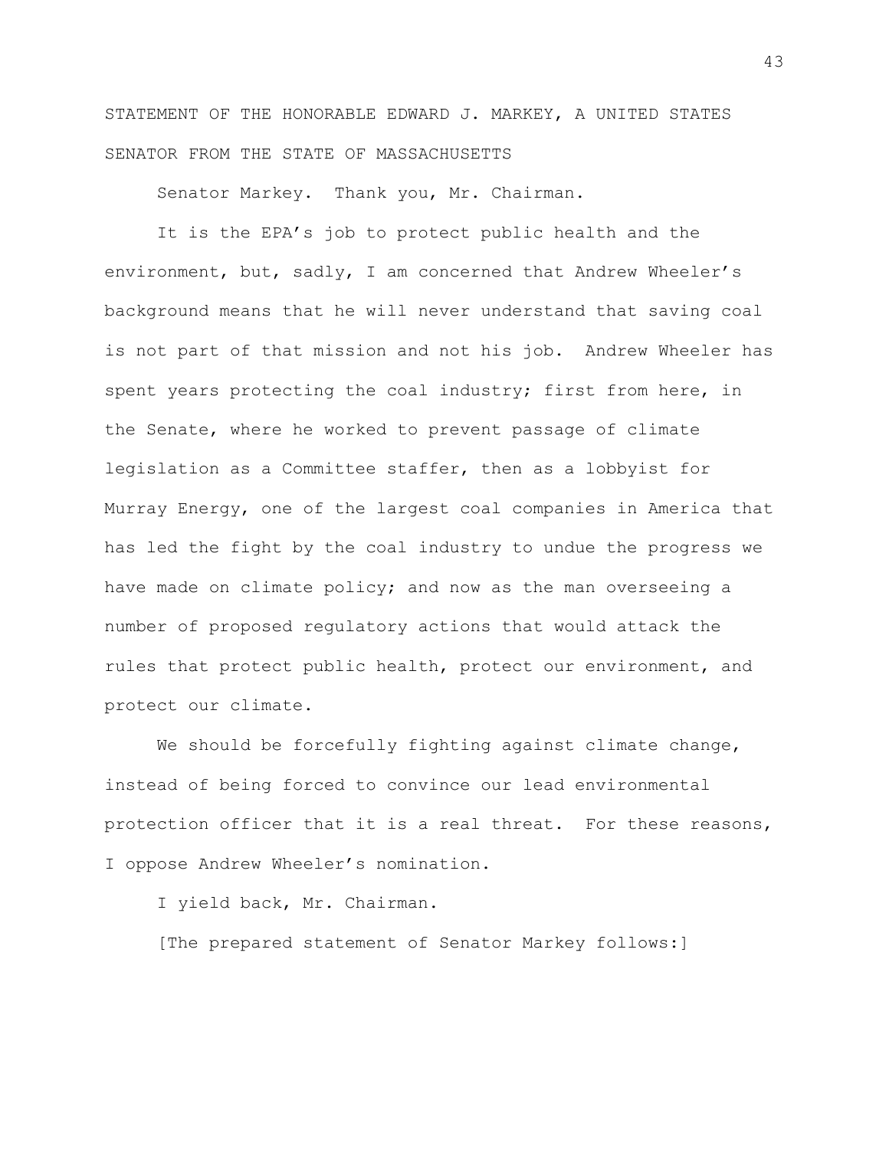STATEMENT OF THE HONORABLE EDWARD J. MARKEY, A UNITED STATES SENATOR FROM THE STATE OF MASSACHUSETTS

Senator Markey. Thank you, Mr. Chairman.

It is the EPA's job to protect public health and the environment, but, sadly, I am concerned that Andrew Wheeler's background means that he will never understand that saving coal is not part of that mission and not his job. Andrew Wheeler has spent years protecting the coal industry; first from here, in the Senate, where he worked to prevent passage of climate legislation as a Committee staffer, then as a lobbyist for Murray Energy, one of the largest coal companies in America that has led the fight by the coal industry to undue the progress we have made on climate policy; and now as the man overseeing a number of proposed regulatory actions that would attack the rules that protect public health, protect our environment, and protect our climate.

We should be forcefully fighting against climate change, instead of being forced to convince our lead environmental protection officer that it is a real threat. For these reasons, I oppose Andrew Wheeler's nomination.

I yield back, Mr. Chairman.

[The prepared statement of Senator Markey follows:]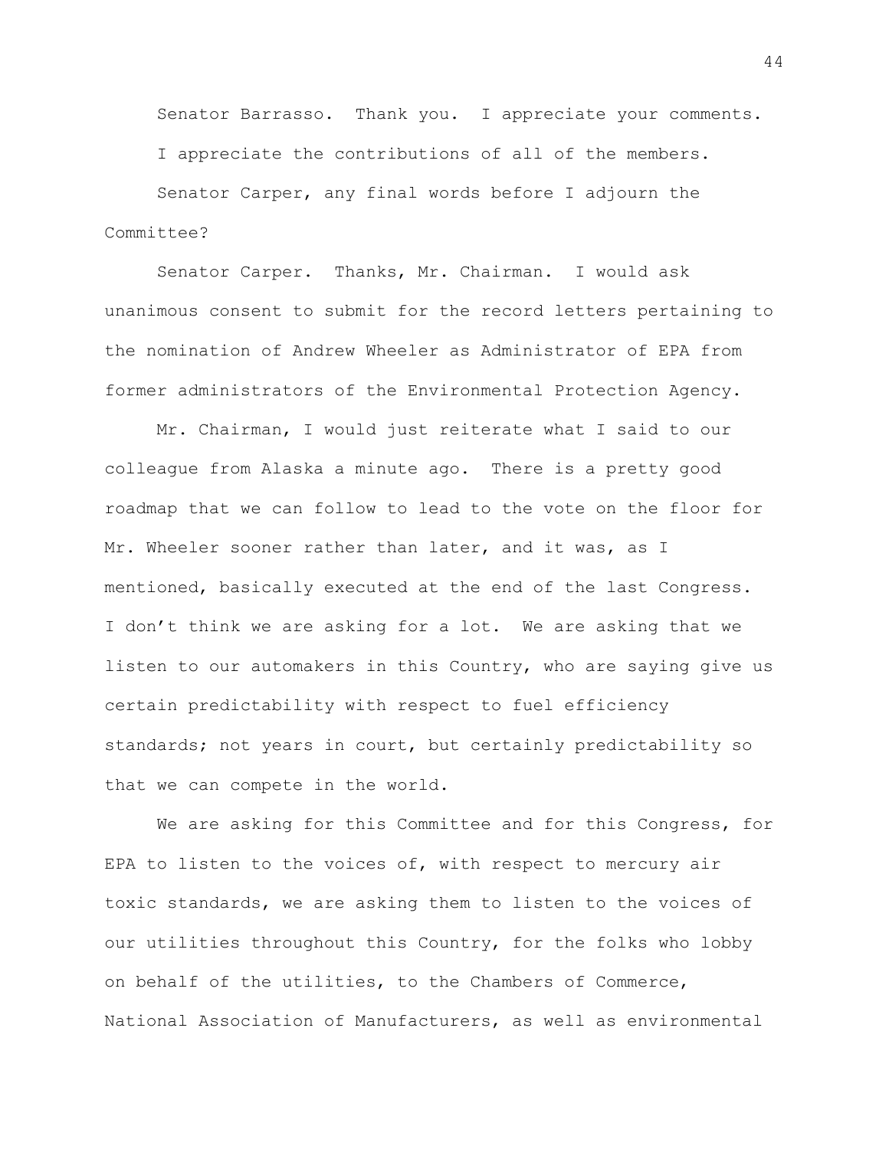Senator Barrasso. Thank you. I appreciate your comments.

I appreciate the contributions of all of the members.

Senator Carper, any final words before I adjourn the Committee?

Senator Carper. Thanks, Mr. Chairman. I would ask unanimous consent to submit for the record letters pertaining to the nomination of Andrew Wheeler as Administrator of EPA from former administrators of the Environmental Protection Agency.

Mr. Chairman, I would just reiterate what I said to our colleague from Alaska a minute ago. There is a pretty good roadmap that we can follow to lead to the vote on the floor for Mr. Wheeler sooner rather than later, and it was, as I mentioned, basically executed at the end of the last Congress. I don't think we are asking for a lot. We are asking that we listen to our automakers in this Country, who are saying give us certain predictability with respect to fuel efficiency standards; not years in court, but certainly predictability so that we can compete in the world.

We are asking for this Committee and for this Congress, for EPA to listen to the voices of, with respect to mercury air toxic standards, we are asking them to listen to the voices of our utilities throughout this Country, for the folks who lobby on behalf of the utilities, to the Chambers of Commerce, National Association of Manufacturers, as well as environmental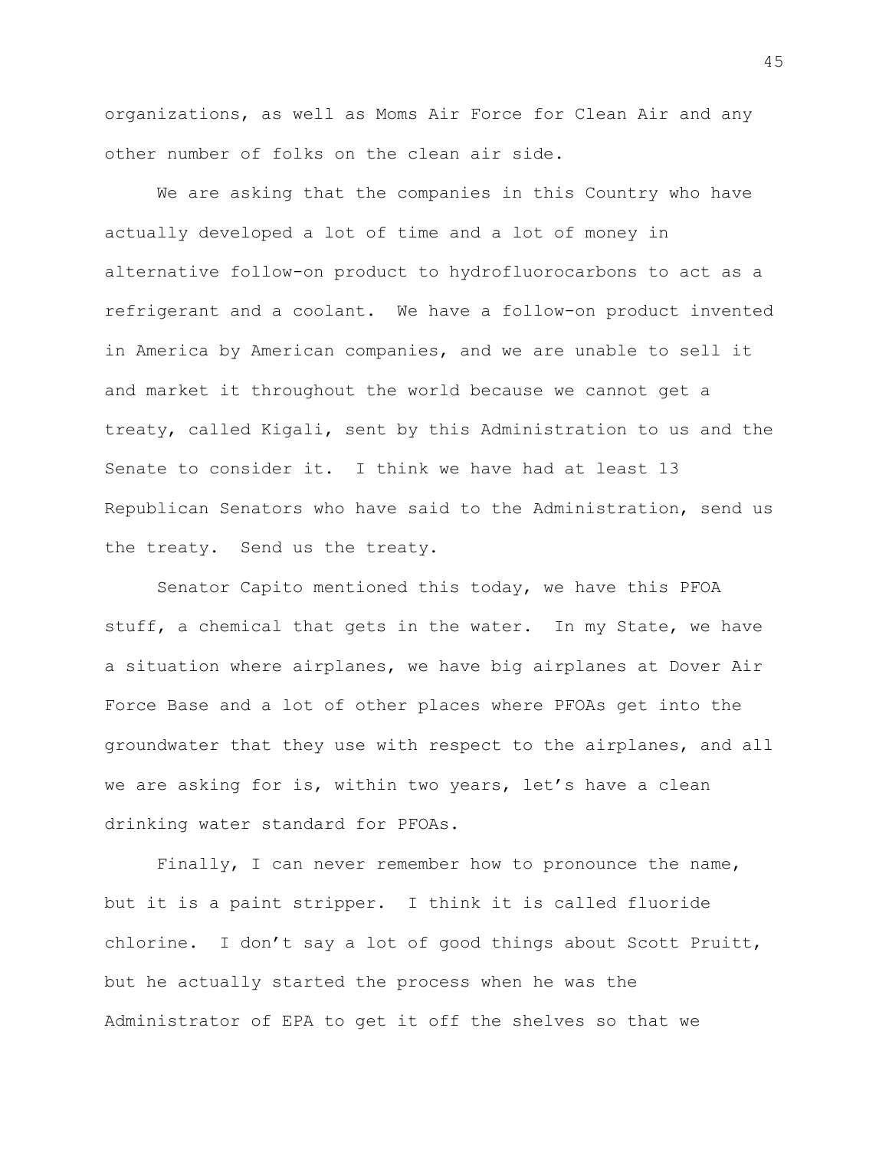organizations, as well as Moms Air Force for Clean Air and any other number of folks on the clean air side.

We are asking that the companies in this Country who have actually developed a lot of time and a lot of money in alternative follow-on product to hydrofluorocarbons to act as a refrigerant and a coolant. We have a follow-on product invented in America by American companies, and we are unable to sell it and market it throughout the world because we cannot get a treaty, called Kigali, sent by this Administration to us and the Senate to consider it. I think we have had at least 13 Republican Senators who have said to the Administration, send us the treaty. Send us the treaty.

Senator Capito mentioned this today, we have this PFOA stuff, a chemical that gets in the water. In my State, we have a situation where airplanes, we have big airplanes at Dover Air Force Base and a lot of other places where PFOAs get into the groundwater that they use with respect to the airplanes, and all we are asking for is, within two years, let's have a clean drinking water standard for PFOAs.

Finally, I can never remember how to pronounce the name, but it is a paint stripper. I think it is called fluoride chlorine. I don't say a lot of good things about Scott Pruitt, but he actually started the process when he was the Administrator of EPA to get it off the shelves so that we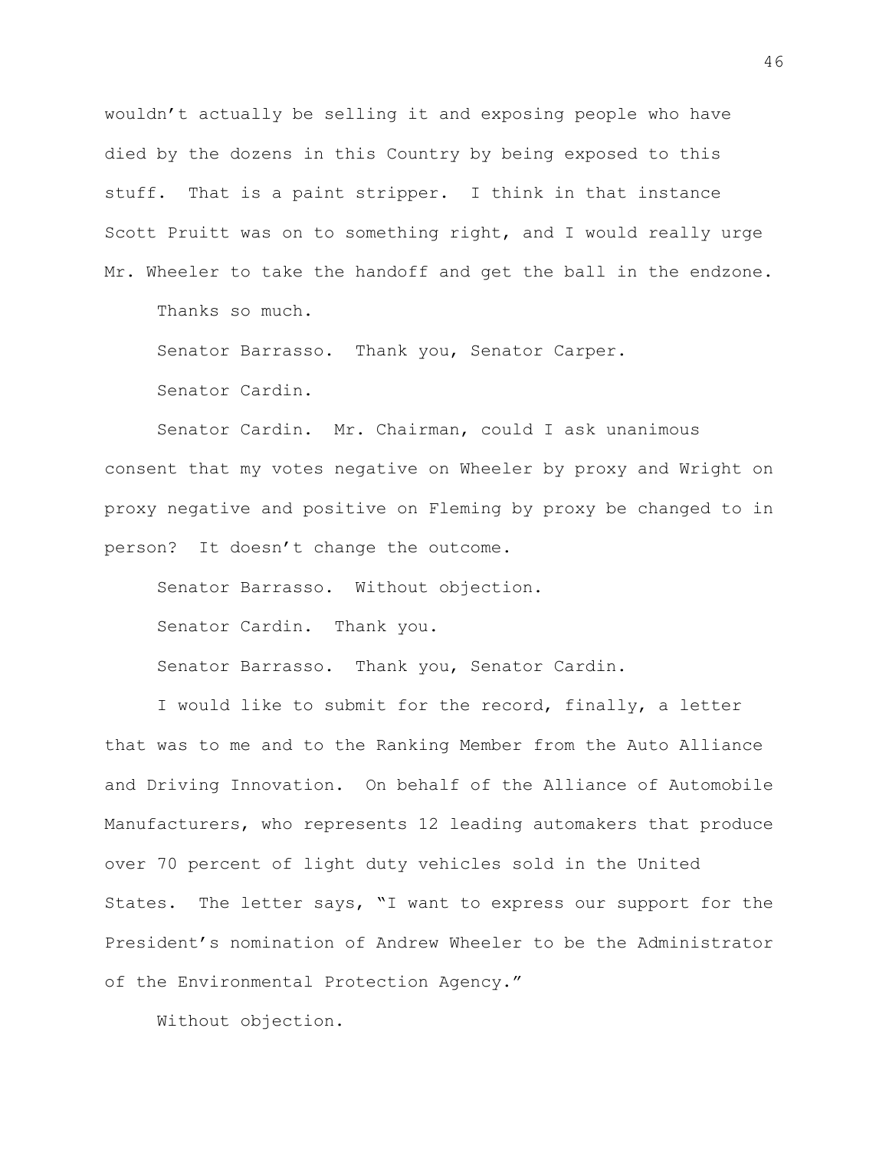wouldn't actually be selling it and exposing people who have died by the dozens in this Country by being exposed to this stuff. That is a paint stripper. I think in that instance Scott Pruitt was on to something right, and I would really urge Mr. Wheeler to take the handoff and get the ball in the endzone.

Thanks so much.

Senator Barrasso. Thank you, Senator Carper.

Senator Cardin.

Senator Cardin. Mr. Chairman, could I ask unanimous consent that my votes negative on Wheeler by proxy and Wright on proxy negative and positive on Fleming by proxy be changed to in person? It doesn't change the outcome.

Senator Barrasso. Without objection.

Senator Cardin. Thank you.

Senator Barrasso. Thank you, Senator Cardin.

I would like to submit for the record, finally, a letter that was to me and to the Ranking Member from the Auto Alliance and Driving Innovation. On behalf of the Alliance of Automobile Manufacturers, who represents 12 leading automakers that produce over 70 percent of light duty vehicles sold in the United States. The letter says, "I want to express our support for the President's nomination of Andrew Wheeler to be the Administrator of the Environmental Protection Agency."

Without objection.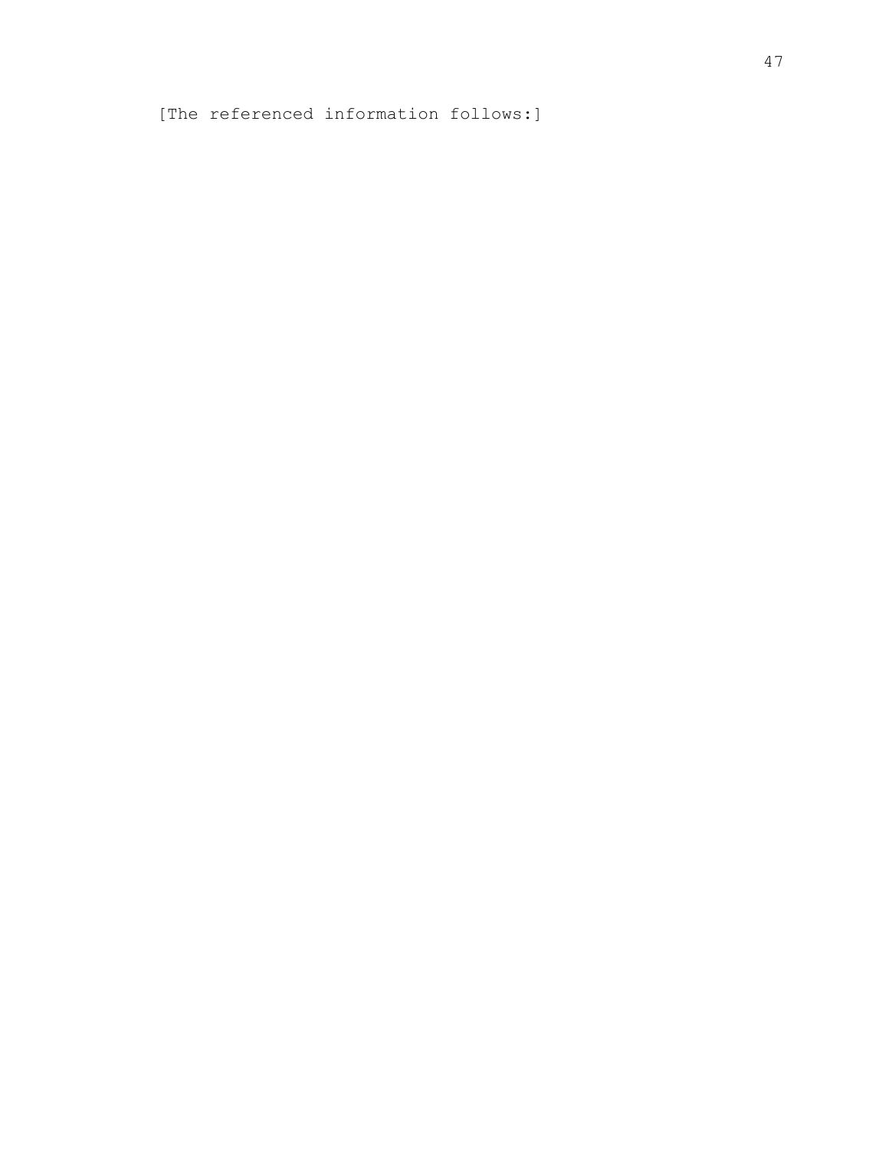[The referenced information follows:]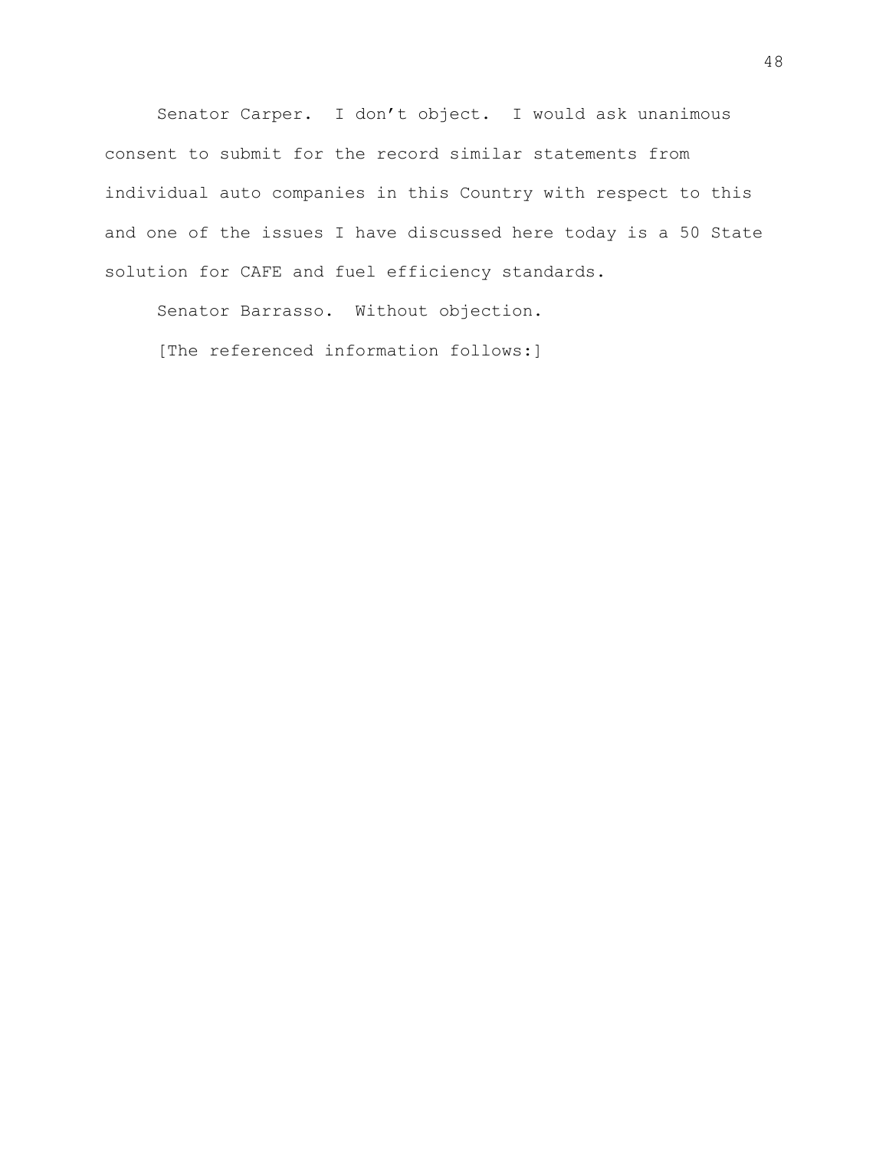Senator Carper. I don't object. I would ask unanimous consent to submit for the record similar statements from individual auto companies in this Country with respect to this and one of the issues I have discussed here today is a 50 State solution for CAFE and fuel efficiency standards.

Senator Barrasso. Without objection.

[The referenced information follows:]